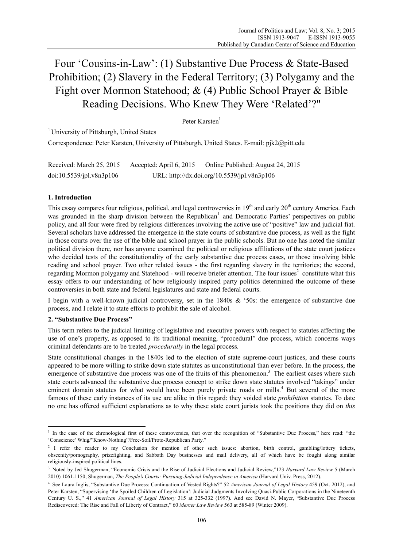# Four 'Cousins-in-Law': (1) Substantive Due Process & State-Based Prohibition; (2) Slavery in the Federal Territory; (3) Polygamy and the Fight over Mormon Statehood; & (4) Public School Prayer & Bible Reading Decisions. Who Knew They Were 'Related'?"

# Peter Karsten<sup>1</sup>

<sup>1</sup> University of Pittsburgh, United States

Correspondence: Peter Karsten, University of Pittsburgh, United States. E-mail: pjk2@pitt.edu

| Received: March 25, 2015 | Accepted: April 6, 2015                     | Online Published: August 24, 2015 |
|--------------------------|---------------------------------------------|-----------------------------------|
| doi:10.5539/jpl.v8n3p106 | URL: http://dx.doi.org/10.5539/jpl.v8n3p106 |                                   |

#### **1. Introduction**

This essay compares four religious, political, and legal controversies in  $19<sup>th</sup>$  and early  $20<sup>th</sup>$  century America. Each was grounded in the sharp division between the Republican<sup>1</sup> and Democratic Parties' perspectives on public policy, and all four were fired by religious differences involving the active use of "positive" law and judicial fiat. Several scholars have addressed the emergence in the state courts of substantive due process, as well as the fight in those courts over the use of the bible and school prayer in the public schools. But no one has noted the similar political division there, nor has anyone examined the political or religious affiliations of the state court justices who decided tests of the constitutionality of the early substantive due process cases, or those involving bible reading and school prayer. Two other related issues - the first regarding slavery in the territories; the second, regarding Mormon polygamy and Statehood - will receive briefer attention. The four issues<sup>2</sup> constitute what this essay offers to our understanding of how religiously inspired party politics determined the outcome of these controversies in both state and federal legislatures and state and federal courts.

I begin with a well-known judicial controversy, set in the 1840s & '50s: the emergence of substantive due process, and I relate it to state efforts to prohibit the sale of alcohol.

### **2. "Substantive Due Process"**

 $\overline{a}$ 

This term refers to the judicial limiting of legislative and executive powers with respect to statutes affecting the use of one's property, as opposed to its traditional meaning, "procedural" due process, which concerns ways criminal defendants are to be treated *procedurally* in the legal process.

State constitutional changes in the 1840s led to the election of state supreme-court justices, and these courts appeared to be more willing to strike down state statutes as unconstitutional than ever before. In the process, the emergence of substantive due process was one of the fruits of this phenomenon.<sup>3</sup> The earliest cases where such state courts advanced the substantive due process concept to strike down state statutes involved "takings" under eminent domain statutes for what would have been purely private roads or mills.<sup>4</sup> But several of the more famous of these early instances of its use are alike in this regard: they voided state *prohibition* statutes. To date no one has offered sufficient explanations as to why these state court jurists took the positions they did on *this*

<sup>&</sup>lt;sup>1</sup> In the case of the chronological first of these controversies, that over the recognition of "Substantive Due Process," here read: "the 'Conscience' Whig/"Know-Nothing"/Free-Soil/Proto-Republican Party."

<sup>&</sup>lt;sup>2</sup> I refer the reader to my Conclusion for mention of other such issues: abortion, birth control, gambling/lottery tickets, obscenity/pornography, prizefighting, and Sabbath Day businesses and mail delivery, all of which have be fought along similar religiously-inspired political lines.

<sup>3</sup> Noted by Jed Shugerman, "Economic Crisis and the Rise of Judicial Elections and Judicial Review,"123 *Harvard Law Review* 5 (March 2010) 1061-1150; Shugerman, *The People's Courts: Pursuing Judicial Independence in America* (Harvard Univ. Press, 2012).

<sup>4</sup> See Laura Inglis, "Substantive Due Process: Continuation of Vested Rights?" 52 *American Journal of Legal History* 459 (Oct. 2012), and Peter Karsten, "Supervising 'the Spoiled Children of Legislation': Judicial Judgments Involving Quasi-Public Corporations in the Nineteenth Century U. S.," 41 *American Journal of Legal History* 315 at 325-332 (1997). And see David N. Mayer, "Substantive Due Process Rediscovered: The Rise and Fall of Liberty of Contract," 60 *Mercer Law Review* 563 at 585-89 (Winter 2009).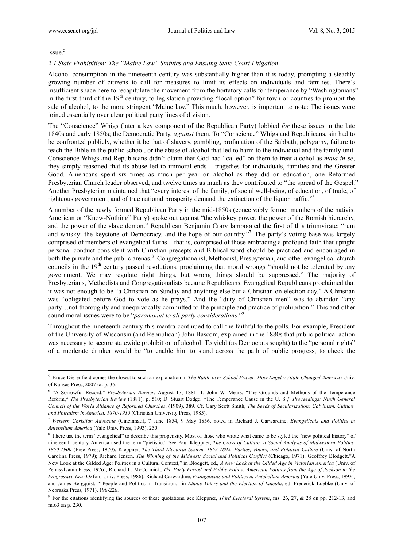issue.<sup>5</sup>

 $\overline{a}$ 

#### *2.1 State Prohibition: The "Maine Law" Statutes and Ensuing State Court Litigation*

Alcohol consumption in the nineteenth century was substantially higher than it is today, prompting a steadily growing number of citizens to call for measures to limit its effects on individuals and families. There's insufficient space here to recapitulate the movement from the hortatory calls for temperance by "Washingtonians" in the first third of the 19<sup>th</sup> century, to legislation providing "local option" for town or counties to prohibit the sale of alcohol, to the more stringent "Maine law." This much, however, is important to note: The issues were joined essentially over clear political party lines of division.

The "Conscience" Whigs (later a key component of the Republican Party) lobbied *for* these issues in the late 1840s and early 1850s; the Democratic Party, *against* them. To "Conscience" Whigs and Republicans, sin had to be confronted publicly, whether it be that of slavery, gambling, profanation of the Sabbath, polygamy, failure to teach the Bible in the public school, or the abuse of alcohol that led to harm to the individual and the family unit. Conscience Whigs and Republicans didn't claim that God had "called" on them to treat alcohol as *mala in se*; they simply reasoned that its abuse led to immoral ends – tragedies for individuals, families and the Greater Good. Americans spent six times as much per year on alcohol as they did on education, one Reformed Presbyterian Church leader observed, and twelve times as much as they contributed to "the spread of the Gospel." Another Presbyterian maintained that "every interest of the family, of social well-being, of education, of trade, of righteous government, and of true national prosperity demand the extinction of the liquor traffic."6

A number of the newly formed Republican Party in the mid-1850s (conceivably former members of the nativist American or "Know-Nothing" Party) spoke out against "the whiskey power, the power of the Romish hierarchy, and the power of the slave demon." Republican Benjamin Crary lampooned the first of this triumvirate: "rum and whisky: the keystone of Democracy, and the hope of our country.<sup>"7</sup> The party's voting base was largely comprised of members of evangelical faiths – that is, comprised of those embracing a profound faith that upright personal conduct consistent with Christian precepts and Biblical word should be practiced and encouraged in both the private and the public arenas.<sup>8</sup> Congregationalist, Methodist, Presbyterian, and other evangelical church councils in the 19<sup>th</sup> century passed resolutions, proclaiming that moral wrongs "should not be tolerated by any government. We may regulate right things, but wrong things should be suppressed." The majority of Presbyterians, Methodists and Congregationalists became Republicans. Evangelical Republicans proclaimed that it was not enough to be "a Christian on Sunday and anything else but a Christian on election day." A Christian was "obligated before God to vote as he prays." And the "duty of Christian men" was to abandon "any party…not thoroughly and unequivocally committed to the principle and practice of prohibition." This and other sound moral issues were to be "*paramount to all party considerations*."9

Throughout the nineteenth century this mantra continued to call the faithful to the polls. For example, President of the University of Wisconsin (and Republican) John Bascom, explained in the 1880s that public political action was necessary to secure statewide prohibition of alcohol: To yield (as Democrats sought) to the "personal rights" of a moderate drinker would be "to enable him to stand across the path of public progress, to check the

<sup>5</sup> Bruce Dierenfield comes the closest to such an explanation in *The Battle over School Prayer: How Engel v Vitale Changed America* (Univ. of Kansas Press, 2007) at p. 36.

<sup>&</sup>lt;sup>6</sup> "A Sorrowful Record," *Presbyterian Banner*, August 17, 1881, 1; John W. Mears, "The Grounds and Methods of the Temperance Reform," *The Presbyterian Review* (1881), p. 510; D. Stuart Dodge, "The Temperance Cause in the U. S.," *Proceedings: Ninth General Council of the World Alliance of Reformed Churches*, (1909), 389. Cf. Gary Scott Smith, *The Seeds of Secularization: Calvinism, Culture, and Pluralism in America, 1870-1915* (Christian University Press, 1985).

<sup>7</sup> *Western Christian Advocate* (Cincinnati), 7 June 1854, 9 May 1856, noted in Richard J. Carwardine, *Evangelicals and Politics in Antebellum America* (Yale Univ. Press, 1993), 250.

<sup>&</sup>lt;sup>8</sup> I here use the term "evangelical" to describe this propensity. Most of those who wrote what came to be styled the "new political history" of nineteenth century America used the term "pietistic." See Paul Kleppner, *The Cross of Culture: a Social Analysis of Midwestern Politics, 1850-1900* (Free Press, 1970); Kleppner, *The Third Electoral System, 1853-1892: Parties, Voters, and Political Culture* (Univ. of North Carolina Press, 1979); Richard Jensen, *The Winning of the Midwest: Social and Political Conflict* (Chicago, 1971); Geoffrey Blodgett,"A New Look at the Gilded Age: Politics in a Cultural Context," in Blodgett, ed., *A New Look at the Gilded Age in Victorian America* (Univ. of Pennsylvania Press, 1976); Richard L. McCormick, *The Party Period and Public Policy: American Politics from the Age of Jackson to the Progressive Era* (Oxford Univ. Press, 1986); Richard Carwardine, *Evangelicals and Politics in Antebellum America* (Yale Univ. Press, 1993); and James Bergquist, ""People and Politics in Transition," in *Ethnic Voters and the Election of Lincoln*, ed. Frederick Luebke (Univ. of Nebraska Press, 1971), 196-226.

<sup>9</sup> For the citations identifying the sources of these quotations, see Kleppner, *Third Electoral System*, fns. 26, 27, & 28 on pp. 212-13, and fn.63 on p. 230.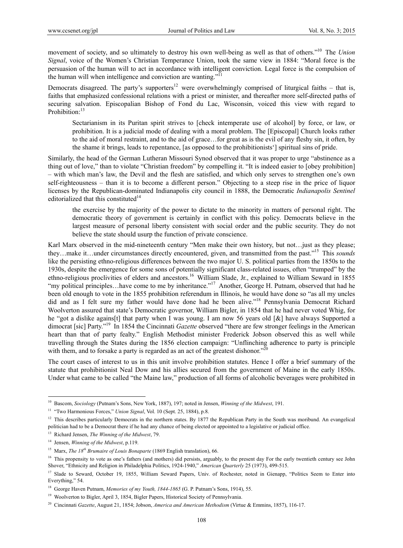movement of society, and so ultimately to destroy his own well-being as well as that of others."10 The *Union Signal*, voice of the Women's Christian Temperance Union, took the same view in 1884: "Moral force is the persuasion of the human will to act in accordance with intelligent conviction. Legal force is the compulsion of the human will when intelligence and conviction are wanting."<sup>11</sup>

Democrats disagreed. The party's supporters<sup>12</sup> were overwhelmingly comprised of liturgical faiths – that is, faiths that emphasized confessional relations with a priest or minister, and thereafter more self-directed paths of securing salvation. Episcopalian Bishop of Fond du Lac, Wisconsin, voiced this view with regard to Prohibition:<sup>13</sup>

Sectarianism in its Puritan spirit strives to [check intemperate use of alcohol] by force, or law, or prohibition. It is a judicial mode of dealing with a moral problem. The [Episcopal] Church looks rather to the aid of moral restraint, and to the aid of grace…for great as is the evil of any fleshy sin, it often, by the shame it brings, leads to repentance, [as opposed to the prohibitionists'] spiritual sins of pride.

Similarly, the head of the German Lutheran Missouri Synod observed that it was proper to urge "abstinence as a thing out of love," than to violate "Christian freedom" by compelling it. "It is indeed easier to [obey prohibition] – with which man's law, the Devil and the flesh are satisfied, and which only serves to strengthen one's own self-righteousness – than it is to become a different person." Objecting to a steep rise in the price of liquor licenses by the Republican-dominated Indianapolis city council in 1888, the Democratic *Indianapolis Sentinel* editorialized that this constituted $14$ 

the exercise by the majority of the power to dictate to the minority in matters of personal right. The democratic theory of government is certainly in conflict with this policy. Democrats believe in the largest measure of personal liberty consistent with social order and the public security. They do not believe the state should usurp the function of private conscience.

Karl Marx observed in the mid-nineteenth century "Men make their own history, but not... just as they please; they…make it…under circumstances directly encountered, given, and transmitted from the past."15 This *sounds* like the persisting ethno-religious differences between the two major U. S. political parties from the 1850s to the 1930s, despite the emergence for some sons of potentially significant class-related issues, often "trumped" by the ethno-religious proclivities of elders and ancestors.<sup>16</sup> William Slade, Jr., explained to William Seward in 1855 "my political principles...have come to me by inheritance."<sup>17</sup> Another, George H. Putnam, observed that had he been old enough to vote in the 1855 prohibition referendum in Illinois, he would have done so "as all my uncles did and as I felt sure my father would have done had he been alive."18 Pennsylvania Democrat Richard Woolverton assured that state's Democratic governor, William Bigler, in 1854 that he had never voted Whig, for he "got a dislike agains[t] that party when I was young. I am now 56 years old [&] have always Supported a dimocrat [sic] Party."19 In 1854 the Cincinnati *Gazette* observed "there are few stronger feelings in the American heart than that of party fealty." English Methodist minister Frederick Jobson observed this as well while travelling through the States during the 1856 election campaign: "Unflinching adherence to party is principle with them, and to forsake a party is regarded as an act of the greatest dishonor."<sup>20</sup>

The court cases of interest to us in this unit involve prohibition statutes. Hence I offer a brief summary of the statute that prohibitionist Neal Dow and his allies secured from the government of Maine in the early 1850s. Under what came to be called "the Maine law," production of all forms of alcoholic beverages were prohibited in

<sup>10</sup> Bascom, *Sociology* (Putnam's Sons, New York, 1887), 197; noted in Jensen, *Winning of the Midwest*, 191.

<sup>&</sup>lt;sup>11</sup> "Two Harmonious Forces," *Union Signal, Vol.* 10 (Sept. 25, 1884), p.8.

 $12$  This describes particularly Democrats in the northern states. By 1877 the Republican Party in the South was moribund. An evangelical politician had to be a Democrat there if he had any chance of being elected or appointed to a legislative or judicial office.

<sup>13</sup> Richard Jensen, *The Winning of the Midwest*, 79.

<sup>14</sup> Jensen, *Winning of the Midwest*, p.119.

<sup>15</sup> Marx, *The 18th Brumaire of Louis Bonaparte* (1869 English translation), 66.

<sup>&</sup>lt;sup>16</sup> This propensity to vote as one's fathers (and mothers) did persists, arguably, to the present day For the early twentieth century see John Shover, "Ethnicity and Religion in Philadelphia Politics, 1924-1940," *American Quarterly* 25 (1973), 499-515.

<sup>&</sup>lt;sup>17</sup> Slade to Seward, October 19, 1855, William Seward Papers, Univ. of Rochester, noted in Gienapp, "Politics Seem to Enter into Everything," 54.

<sup>&</sup>lt;sup>18</sup> George Haven Putnam, *Memories of my Youth, 1844-1865* (G. P. Putnam's Sons, 1914), 55.

<sup>&</sup>lt;sup>19</sup> Woolverton to Bigler, April 3, 1854, Bigler Papers, Historical Society of Pennsylvania.

<sup>20</sup> Cincinnati *Gazette*, August 21, 1854; Jobson, *America and American Methodism* (Virtue & Emmins, 1857), 116-17.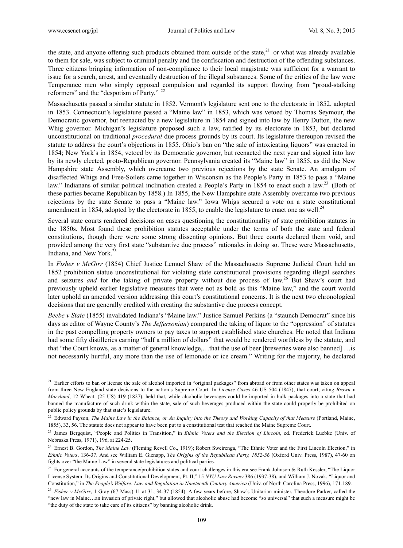$\overline{a}$ 

the state, and anyone offering such products obtained from outside of the state, $^{21}$  or what was already available to them for sale, was subject to criminal penalty and the confiscation and destruction of the offending substances. Three citizens bringing information of non-compliance to their local magistrate was sufficient for a warrant to issue for a search, arrest, and eventually destruction of the illegal substances. Some of the critics of the law were Temperance men who simply opposed compulsion and regarded its support flowing from "proud-stalking reformers" and the "despotism of Party." <sup>22</sup>

Massachusetts passed a similar statute in 1852. Vermont's legislature sent one to the electorate in 1852, adopted in 1853. Connecticut's legislature passed a "Maine law" in 1853, which was vetoed by Thomas Seymour, the Democratic governor, but reenacted by a new legislature in 1854 and signed into law by Henry Dutton, the new Whig governor. Michigan's legislature proposed such a law, ratified by its electorate in 1853, but declared unconstitutional on traditional *procedural* due process grounds by its court. Its legislature thereupon revised the statute to address the court's objections in 1855. Ohio's ban on "the sale of intoxicating liquors" was enacted in 1854; New York's in 1854, vetoed by its Democratic governor, but reenacted the next year and signed into law by its newly elected, proto-Republican governor. Pennsylvania created its "Maine law" in 1855, as did the New Hampshire state Assembly, which overcame two previous rejections by the state Senate. An amalgam of disaffected Whigs and Free-Soilers came together in Wisconsin as the People's Party in 1853 to pass a "Maine law." Indianans of similar political inclination created a People's Party in 1854 to enact such a law.<sup>23</sup> (Both of these parties became Republican by 1858.) In 1855, the New Hampshire state Assembly overcame two previous rejections by the state Senate to pass a "Maine law." Iowa Whigs secured a vote on a state constitutional amendment in 1854, adopted by the electorate in 1855, to enable the legislature to enact one as well.<sup>24</sup>

Several state courts rendered decisions on cases questioning the constitutionality of state prohibition statutes in the 1850s. Most found these prohibition statutes acceptable under the terms of both the state and federal constitutions, though there were some strong dissenting opinions. But three courts declared them void, and provided among the very first state "substantive due process" rationales in doing so. These were Massachusetts, Indiana, and New York.<sup>25</sup>

In *Fisher v McGirr* (1854) Chief Justice Lemuel Shaw of the Massachusetts Supreme Judicial Court held an 1852 prohibition statue unconstitutional for violating state constitutional provisions regarding illegal searches and seizures *and* for the taking of private property without due process of law.<sup>26</sup> But Shaw's court had previously upheld earlier legislative measures that were not as bold as this "Maine law," and the court would later uphold an amended version addressing this court's constitutional concerns. It is the next two chronological decisions that are generally credited with creating the substantive due process concept.

*Beebe v State* (1855) invalidated Indiana's "Maine law." Justice Samuel Perkins (a "staunch Democrat" since his days as editor of Wayne County's *The Jeffersonian*) compared the taking of liquor to the "oppression" of statutes in the past compelling property owners to pay taxes to support established state churches. He noted that Indiana had some fifty distilleries earning "half a million of dollars" that would be rendered worthless by the statute, and that "the Court knows, as a matter of general knowledge,…that the use of beer [breweries were also banned] …is not necessarily hurtful, any more than the use of lemonade or ice cream." Writing for the majority, he declared

<sup>&</sup>lt;sup>21</sup> Earlier efforts to ban or license the sale of alcohol imported in "original packages" from abroad or from other states was taken on appeal from three New England state decisions to the nation's Supreme Court. In *License Cases* 46 US 504 (1847), that court, citing *Brown v Maryland*, 12 Wheat. (25 US) 419 (1827), held that, while alcoholic beverages could be imported in bulk packages into a state that had banned the manufacture of such drink within the state, sale of such beverages produced within the state could properly be prohibited on public policy grounds by that state's legislature.

<sup>&</sup>lt;sup>22</sup> Edward Payson, *The Maine Law in the Balance, or An Inquiry into the Theory and Working Capacity of that Measure (Portland, Maine,* 1855), 33, 56. The statute does not appear to have been put to a constitutional test that reached the Maine Supreme Court.

<sup>&</sup>lt;sup>23</sup> James Bergquist, "People and Politics in Transition," in *Ethnic Voters and the Election of Lincoln*, ed. Frederick Luebke (Univ. of Nebraska Press, 1971), 196, at 224-25.

<sup>&</sup>lt;sup>24</sup> Ernest B. Gordon, *The Maine Law* (Fleming Revell Co., 1919); Robert Sweirenga, "The Ethnic Voter and the First Lincoln Election," in *Ethnic Voters*, 136-37. And see William E. Gienapp, *The Origins of the Republican Party, 1852-56* (Oxford Univ. Press, 1987), 47-60 on fights over "the Maine Law" in several state legislatures and political parties.

<sup>&</sup>lt;sup>25</sup> For general accounts of the temperance/prohibition states and court challenges in this era see Frank Johnson & Ruth Kessler, "The Liquor License System: Its Origins and Constitutional Development, Pt. II," 15 *NYU Law Review* 386 (1937-38), and William J. Novak, "Liquor and Constitution," in *The People's Welfare: Law and Regulation in Nineteenth Century America* (Univ. of North Carolina Press, 1996), 171-189.

<sup>&</sup>lt;sup>26</sup> Fisher v McGirr, 1 Gray (67 Mass) 11 at 31, 34-37 (1854). A few years before, Shaw's Unitarian minister, Theodore Parker, called the "new law in Maine…an invasion of private right," but allowed that alcoholic abuse had become "so universal" that such a measure might be "the duty of the state to take care of its citizens" by banning alcoholic drink.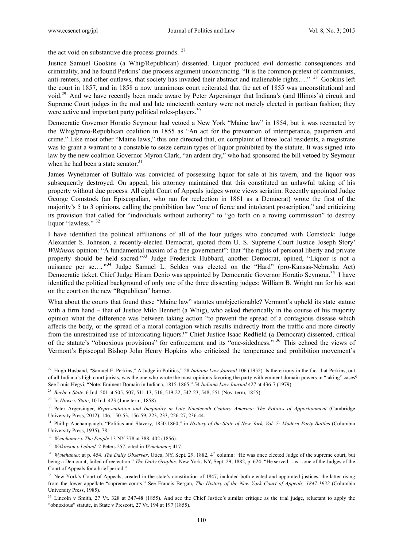the act void on substantive due process grounds.  $27$ 

Justice Samuel Gookins (a Whig/Republican) dissented. Liquor produced evil domestic consequences and criminality, and he found Perkins' due process argument unconvincing. "It is the common pretext of communists, anti-renters, and other outlaws, that society has invaded their abstract and inalienable rights…." <sup>28</sup> Gookins left the court in 1857, and in 1858 a now unanimous court reiterated that the act of 1855 was unconstitutional and void.29 And we have recently been made aware by Peter Argersinger that Indiana's (and Illinois's) circuit and Supreme Court judges in the mid and late nineteenth century were not merely elected in partisan fashion; they were active and important party political roles-players.<sup>30</sup>

Democratic Governor Horatio Seymour had vetoed a New York "Maine law" in 1854, but it was reenacted by the Whig/proto-Republican coalition in 1855 as "An act for the prevention of intemperance, pauperism and crime." Like most other "Maine laws," this one directed that, on complaint of three local residents, a magistrate was to grant a warrant to a constable to seize certain types of liquor prohibited by the statute. It was signed into law by the new coalition Governor Myron Clark, "an ardent dry," who had sponsored the bill vetoed by Seymour when he had been a state senator.<sup>31</sup>

James Wynehamer of Buffalo was convicted of possessing liquor for sale at his tavern, and the liquor was subsequently destroyed. On appeal, his attorney maintained that this constituted an unlawful taking of his property without due process. All eight Court of Appeals judges wrote views seriatim. Recently appointed Judge George Comstock (an Episcopalian, who ran for reelection in 1861 as a Democrat) wrote the first of the majority's 5 to 3 opinions, calling the prohibition law "one of fierce and intolerant proscription," and criticizing its provision that called for "individuals without authority" to "go forth on a roving commission" to destroy liquor "lawless." 32

I have identified the political affiliations of all of the four judges who concurred with Comstock: Judge Alexander S. Johnson, a recently-elected Democrat, quoted from U. S. Supreme Court Justice Joseph Story' *Wilkinson* opinion: "A fundamental maxim of a free government": that "the rights of personal liberty and private property should be held sacred."<sup>33</sup> Judge Frederick Hubbard, another Democrat, opined, "Liquor is not a nuisance per se...<sup>"34</sup> Judge Samuel L. Selden was elected on the "Hard" (pro-Kansas-Nebraska Act) Democratic ticket. Chief Judge Hiram Denio was appointed by Democratic Governor Horatio Seymour.<sup>35</sup> I have identified the political background of only one of the three dissenting judges: William B. Wright ran for his seat on the court on the new "Republican" banner.

What about the courts that found these "Maine law" statutes unobjectionable? Vermont's upheld its state statute with a firm hand – that of Justice Milo Bennett (a Whig), who asked rhetorically in the course of his majority opinion what the difference was between taking action "to prevent the spread of a contagious disease which affects the body, or the spread of a moral contagion which results indirectly from the traffic and more directly from the unrestrained use of intoxicating liquors?" Chief Justice Isaac Redfield (a Democrat) dissented, critical of the statute's "obnoxious provisions" for enforcement and its "one-sidedness." 36 This echoed the views of Vermont's Episcopal Bishop John Henry Hopkins who criticized the temperance and prohibition movement's

<sup>27</sup> Hugh Husband, "Samuel E. Perkins," A Judge in Politics," 28 *Indiana Law Journal* 106 (1952). Is there irony in the fact that Perkins, out of all Indiana's high court jurists, was the one who wrote the most opinions favoring the party with eminent domain powers in "taking" cases? See Louis Hegyi, "Note: Eminent Domain in Indiana, 1815-1865," 54 *Indiana Law Journal* 427 at 436-7 (1979).

<sup>&</sup>lt;sup>28</sup> *Beebe v State*, 6 Ind. 501 at 505, 507, 511-13, 516, 519-22, 542-23, 548, 551 (Nov. term, 1855).

<sup>29</sup> In *Howe v State*, 10 Ind. 423 (June term, 1858).

<sup>&</sup>lt;sup>30</sup> Peter Argersinger, *Representation and Inequality in Late Nineteenth Century America: The Politics of Apportionment* (Cambridge University Press, 2012), 146, 150-53, 156-59, 223, 233, 226-27, 236-44.

<sup>&</sup>lt;sup>31</sup> Phillip Auchampaugh, "Politics and Slavery, 1850-1860," in *History of the State of New York, Vol. 7: Modern Party Battles* (Columbia University Press, 1935), 78.

<sup>32</sup> *Wynehamer v The People* 13 NY 378 at 388, 402 (1856).

<sup>33</sup> *Wilkinson v Leland,* 2 Peters 257, cited in *Wynehamer,* 417.

<sup>&</sup>lt;sup>34</sup> *Wynehamer*, at p. 454. *The Daily Observer*, Utica, NY, Sept. 29, 1882, 4<sup>th</sup> column: "He was once elected Judge of the supreme court, but being a Democrat, failed of reelection." *The Daily Graphic*, New York, NY, Sept. 29, 1882, p. 624: "He served…as…one of the Judges of the Court of Appeals for a brief period."

<sup>&</sup>lt;sup>35</sup> New York's Court of Appeals, created in the state's constitution of 1847, included both elected and appointed justices, the latter rising from the lower appellate "supreme courts." See Francis Bergan, *The History of the New York Court of Appeals, 1847-1932* (Columbia University Press, 1985).

<sup>&</sup>lt;sup>36</sup> Lincoln v Smith, 27 Vt. 328 at 347-48 (1855). And see the Chief Justice's similar critique as the trial judge, reluctant to apply the "obnoxious" statute, in State v Prescott, 27 Vt. 194 at 197 (1855).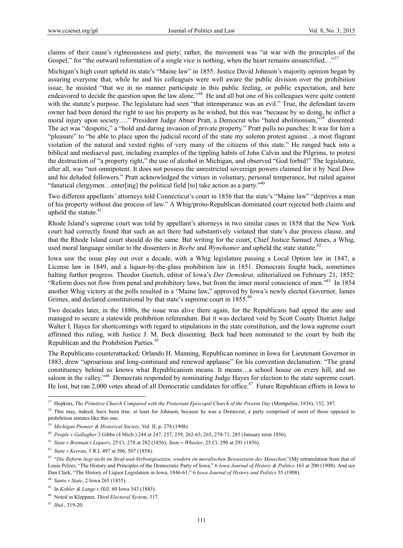claims of their cause's righteousness and piety; rather, the movement was "at war with the principles of the Gospel," for "the outward reformation of a single vice is nothing, when the heart remains unsanctified..."<sup>37</sup>

Michigan's high court upheld its state's "Maine law" in 1855. Justice David Johnson's majority opinion began by assuring everyone that, while he and his colleagues were well aware the public division over the prohibition issue, he insisted "that we in no manner participate in this public feeling, or public expectation, and here endeavored to decide the question upon the law alone."38 He and all but one of his colleagues were quite content with the statute's purpose. The legislature had seen "that intemperance was an evil." True, the defendant tavern owner had been denied the right to use his property as he wished, but this was "because by so doing, he inflict a moral injury upon society…." President Judge Abner Pratt, a Democrat who "hated abolitionism,"<sup>39</sup> dissented: The act was "despotic," a "bold and daring invasion of private property." Pratt pulls no punches: It was for him a "pleasure" to "be able to place upon the judicial record of the state my solemn protest against…a most flagrant violation of the natural and vested rights of very many of the citizens of this state." He ranged back into a biblical and mediaeval past, including examples of the tippling habits of John Calvin and the Pilgrims, to protest the destruction of "a property right," the use of alcohol in Michigan, and observed "God forbid!" The legislature, after all, was "not omnipotent. It does not possess the unrestricted sovereign powers claimed for it by Neal Dow and his deluded followers." Pratt acknowledged the virtues in voluntary, personal temperance, but railed against "fanatical clergymen…enter[ing] the political field [to] take action as a party."40

Two different appellants' attorneys told Connecticut's court in 1856 that the state's "Maine law" "deprives a man of his property without due process of law." A Whig/proto-Republican dominated court rejected both claims and upheld the statute.<sup>41</sup>

Rhode Island's supreme court was told by appellant's attorneys in two similar cases in 1858 that the New York court had correctly found that such an act there had substantively violated that state's due process clause, and that the Rhode Island court should do the same. But writing for the court, Chief Justice Samuel Ames, a Whig, used moral language similar to the dissenters in *Beebe* and *Wynehamer* and upheld the state statute.<sup>42</sup>

Iowa saw the issue play out over a decade, with a Whig legislature passing a Local Option law in 1847, a License law in 1849, and a liquor-by-the-glass prohibition law in 1851. Democrats fought back, sometimes halting further progress. Theodor Guetich, editor of Iowa's *Der Demokrat,* editorialized on February 21, 1852: "Reform does not flow from penal and prohibitory laws, but from the inner moral conscience of men."43 In 1854 another Whig victory at the polls resulted in a "Maine law," approved by Iowa's newly elected Governor, James Grimes, and declared constitutional by that state's supreme court in 1855.<sup>44</sup>

Two decades later, in the 1880s, the issue was alive there again, for the Republicans had upped the ante and managed to secure a statewide prohibition referendum. But it was declared void by Scott County District Judge Walter I. Hayes for shortcomings with regard to stipulations in the state constitution, and the Iowa supreme court affirmed this ruling, with Justice J. M. Beck dissenting. Beck had been nominated to the court by both the Republican and the Prohibition Parties.<sup>45</sup>

The Republicans counterattacked: Orlando H. Manning, Republican nominee in Iowa for Lieutenant Governor in 1883, drew "uproarious and long-continued and renewed applause" for his convention declamation: "The grand constituency behind us knows what Republicanism means. It means…a school house on every hill, and no saloon in the valley."<sup>46</sup> Democrats responded by nominating Judge Hayes for election to the state supreme court. He lost, but ran 2,000 votes ahead of all Democratic candidates for office.<sup>47</sup> Future Republican efforts in Iowa to

<sup>37</sup> Hopkins, *The Primitive Church Compared with the Protestant Episcopal Church of the Present Day* (Montpelier, 1836), 152, 387.

<sup>&</sup>lt;sup>38</sup> This may, indeed, have been true, at least for Johnson, because he was a Democrat, a party comprised of most of those opposed to prohibition statutes like this one.

<sup>39</sup> *Michigan Pioneer & Historical Society*, Vol. II, p. 278 (1908).

<sup>40</sup> *People v Gallagher* 3 Gibbs (4 Mich.) 244 at 247, 257, 259, 262-63, 265, 270-71, 285 (January term 1856).

<sup>41</sup> *State v Brennan's Liquors*, 25 Ct. 278 at 282 (1856); *State v Wheeler*, 25 Ct. 290 at 291 (1856).

<sup>42</sup> *State v Keeran*, 5 R.I. 497 at 506, 507 (1858).

<sup>43 &</sup>quot;*Die Reform liegt nicht im Straf-und-Verbotsgesetzen, sondern im moralischen Bewusstsein des Menschen*."(My retranslation from that of Louis Pelzer, "The History and Principles of the Democratic Party of Iowa," 6 *Iowa Journal of History & Politics* 163 at 200 (1908). And see Dan Clark, "The History of Liquor Legislation in Iowa, 1846-61," 6 *Iowa Journal of History and Politics* 55 (1908).

<sup>44</sup> *Santo v State*, 2 Iowa 265 (1855).

<sup>45</sup> In *Kohler & Lange v Hill*, 60 Iowa 543 (1883).

<sup>46</sup> Noted in Kleppner, *Third Electoral System*, 317.

<sup>47</sup> *Ibid*., 319-20.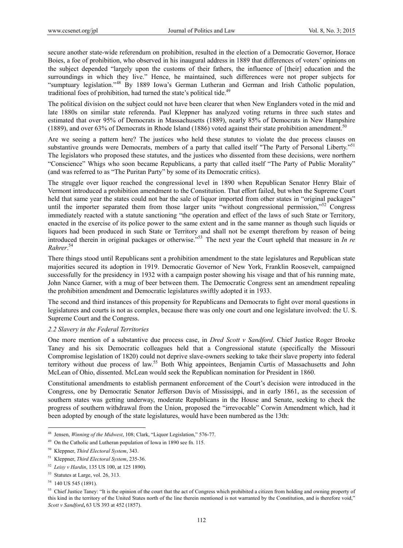secure another state-wide referendum on prohibition, resulted in the election of a Democratic Governor, Horace Boies, a foe of prohibition, who observed in his inaugural address in 1889 that differences of voters' opinions on the subject depended "largely upon the customs of their fathers, the influence of [their] education and the surroundings in which they live." Hence, he maintained, such differences were not proper subjects for "sumptuary legislation."48 By 1889 Iowa's German Lutheran and German and Irish Catholic population, traditional foes of prohibition, had turned the state's political tide.<sup>49</sup>

The political division on the subject could not have been clearer that when New Englanders voted in the mid and late 1880s on similar state referenda. Paul Kleppner has analyzed voting returns in three such states and estimated that over 95% of Democrats in Massachusetts (1889), nearly 85% of Democrats in New Hampshire (1889), and over 63% of Democrats in Rhode Island (1886) voted against their state prohibition amendment.<sup>50</sup>

Are we seeing a pattern here? The justices who held these statutes to violate the due process clauses on substantive grounds were Democrats, members of a party that called itself "The Party of Personal Liberty."<sup>51</sup> The legislators who proposed these statutes, and the justices who dissented from these decisions, were northern "Conscience" Whigs who soon became Republicans, a party that called itself "The Party of Public Morality" (and was referred to as "The Puritan Party" by some of its Democratic critics).

The struggle over liquor reached the congressional level in 1890 when Republican Senator Henry Blair of Vermont introduced a prohibition amendment to the Constitution. That effort failed, but when the Supreme Court held that same year the states could not bar the sale of liquor imported from other states in "original packages" until the importer separated them from those larger units "without congressional permission,"<sup>52</sup> Congress immediately reacted with a statute sanctioning "the operation and effect of the laws of such State or Territory, enacted in the exercise of its police power to the same extent and in the same manner as though such liquids or liquors had been produced in such State or Territory and shall not be exempt therefrom by reason of being introduced therein in original packages or otherwise."53 The next year the Court upheld that measure in *In re Rahrer*. 54

There things stood until Republicans sent a prohibition amendment to the state legislatures and Republican state majorities secured its adoption in 1919. Democratic Governor of New York, Franklin Roosevelt, campaigned successfully for the presidency in 1932 with a campaign poster showing his visage and that of his running mate, John Nance Garner, with a mug of beer between them. The Democratic Congress sent an amendment repealing the prohibition amendment and Democratic legislatures swiftly adopted it in 1933.

The second and third instances of this propensity for Republicans and Democrats to fight over moral questions in legislatures and courts is not as complex, because there was only one court and one legislature involved: the U. S. Supreme Court and the Congress.

#### *2.2 Slavery in the Federal Territories*

One more mention of a substantive due process case, in *Dred Scott v Sandford*. Chief Justice Roger Brooke Taney and his six Democratic colleagues held that a Congressional statute (specifically the Missouri Compromise legislation of 1820) could not deprive slave-owners seeking to take their slave property into federal territory without due process of law.<sup>55</sup> Both Whig appointees, Benjamin Curtis of Massachusetts and John McLean of Ohio, dissented. McLean would seek the Republican nomination for President in 1860.

Constitutional amendments to establish permanent enforcement of the Court's decision were introduced in the Congress, one by Democratic Senator Jefferson Davis of Mississippi, and in early 1861, as the secession of southern states was getting underway, moderate Republicans in the House and Senate, seeking to check the progress of southern withdrawal from the Union, proposed the "irrevocable" Corwin Amendment which, had it been adopted by enough of the state legislatures, would have been numbered as the 13th:

<sup>48</sup> Jensen, *Winning of the Midwest*, 108; Clark, "Liquor Legislation," 576-77.

 $49$  On the Catholic and Lutheran population of Iowa in 1890 see fn. 115.

<sup>50</sup> Kleppner, *Third Electoral System*, 343.

<sup>51</sup> Kleppner, *Third Electoral System*, 235-36.

<sup>52</sup> *Leisy v Hardin*, 135 US 100, at 125 1890).

<sup>&</sup>lt;sup>53</sup> Statutes at Large, vol. 26, 313.

<sup>54 140</sup> US 545 (1891).

<sup>&</sup>lt;sup>55</sup> Chief Justice Taney: "It is the opinion of the court that the act of Congress which prohibited a citizen from holding and owning property of this kind in the territory of the United States north of the line therein mentioned is not warranted by the Constitution, and is therefore void," *Scott v Sandford***,** 63 US 393 at 452 (1857).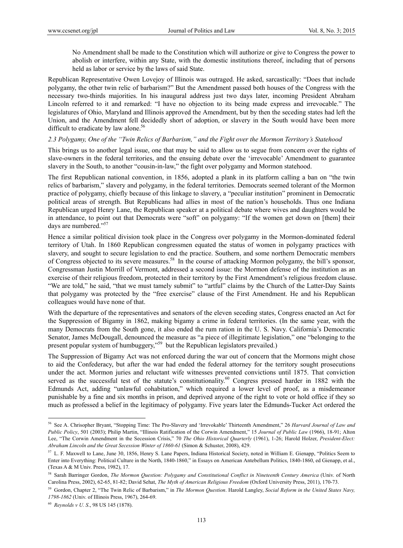No Amendment shall be made to the Constitution which will authorize or give to Congress the power to abolish or interfere, within any State, with the domestic institutions thereof, including that of persons held as labor or service by the laws of said State.

Republican Representative Owen Lovejoy of Illinois was outraged. He asked, sarcastically: "Does that include polygamy, the other twin relic of barbarism?" But the Amendment passed both houses of the Congress with the necessary two-thirds majorities. In his inaugural address just two days later, incoming President Abraham Lincoln referred to it and remarked: "I have no objection to its being made express and irrevocable." The legislatures of Ohio, Maryland and Illinois approved the Amendment, but by then the seceding states had left the Union, and the Amendment fell decidedly short of adoption, or slavery in the South would have been more difficult to eradicate by law alone.<sup>56</sup>

## *2.3 Polygamy, One of the "Twin Relics of Barbarism," and the Fight over the Mormon Territory's Statehood*

This brings us to another legal issue, one that may be said to allow us to segue from concern over the rights of slave-owners in the federal territories, and the ensuing debate over the 'irrevocable' Amendment to guarantee slavery in the South, to another "cousin-in-law," the fight over polygamy and Mormon statehood.

The first Republican national convention, in 1856, adopted a plank in its platform calling a ban on "the twin relics of barbarism," slavery and polygamy, in the federal territories. Democrats seemed tolerant of the Mormon practice of polygamy, chiefly because of this linkage to slavery, a "peculiar institution" prominent in Democratic political areas of strength. But Republicans had allies in most of the nation's households. Thus one Indiana Republican urged Henry Lane, the Republican speaker at a political debate where wives and daughters would be in attendance, to point out that Democrats were "soft" on polygamy: "If the women get down on [them] their days are numbered."57

Hence a similar political division took place in the Congress over polygamy in the Mormon-dominated federal territory of Utah. In 1860 Republican congressmen equated the status of women in polygamy practices with slavery, and sought to secure legislation to end the practice. Southern, and some northern Democratic members of Congress objected to its severe measures.58 In the course of attacking Mormon polygamy, the bill's sponsor, Congressman Justin Morrill of Vermont, addressed a second issue: the Mormon defense of the institution as an exercise of their religious freedom, protected in their territory by the First Amendment's religious freedom clause. "We are told," he said, "that we must tamely submit" to "artful" claims by the Church of the Latter-Day Saints that polygamy was protected by the "free exercise" clause of the First Amendment. He and his Republican colleagues would have none of that.

With the departure of the representatives and senators of the eleven seceding states, Congress enacted an Act for the Suppression of Bigamy in 1862, making bigamy a crime in federal territories. (In the same year, with the many Democrats from the South gone, it also ended the rum ration in the U. S. Navy. California's Democratic Senator, James McDougall, denounced the measure as "a piece of illegitimate legislation," one "belonging to the present popular system of humbuggery,"59 but the Republican legislators prevailed.)

The Suppression of Bigamy Act was not enforced during the war out of concern that the Mormons might chose to aid the Confederacy, but after the war had ended the federal attorney for the territory sought prosecutions under the act. Mormon juries and reluctant wife witnesses prevented convictions until 1875. That conviction served as the successful test of the statute's constitutionality.<sup>60</sup> Congress pressed harder in 1882 with the Edmunds Act, adding "unlawful cohabitation," which required a lower level of proof, as a misdemeanor punishable by a fine and six months in prison, and deprived anyone of the right to vote or hold office if they so much as professed a belief in the legitimacy of polygamy. Five years later the Edmunds-Tucker Act ordered the

<sup>56</sup> See A. Chrisopher Bryant, "Stopping Time: The Pro-Slavery and 'Irrevokable' Thirteenth Amendment," 26 *Harvard Journal of Law and Public Policy*, 501 (2003); Philip Martin, "Illinois Ratification of the Corwin Amendment," 15 *Journal of Public Law* (1966), 18-91; Alton Lee, "The Corwin Amendment in the Secession Crisis," 70 *The Ohio Historical Quarterly* (1961), 1-26; Harold Holzer, *President-Elect: Abraham Lincoln and the Great Secession Winter of 1860-61* (Simon & Schuster, 2008), 429.

<sup>&</sup>lt;sup>57</sup> L. F. Maxwell to Lane, June 30, 1856, Henry S. Lane Papers, Indiana Historical Society, noted in William E. Gienapp, "Politics Seem to Enter into Everything: Political Culture in the North, 1840-1860," in Essays on American Antebellum Politics, 1840-1860, ed Gienapp, et al., (Texas A & M Univ. Press, 1982), 17.

<sup>58</sup> Sarah Barringer Gordon, *The Mormon Question: Polygamy and Constitutional Conflict in Nineteenth Century America* (Univ. of North Carolina Press, 2002), 62-65, 81-82; David Sehat, *The Myth of American Religious Freedom* (Oxford University Press, 2011), 170-73.

<sup>59</sup> Gordon, Chapter 2, "The Twin Relic of Barbarism," in *The Mormon Question*. Harold Langley, *Social Reform in the United States Navy, 1798-1862* (Univ. of Illinois Press, 1967), 264-69.

<sup>60</sup> *Reynolds v U. S*., 98 US 145 (1878).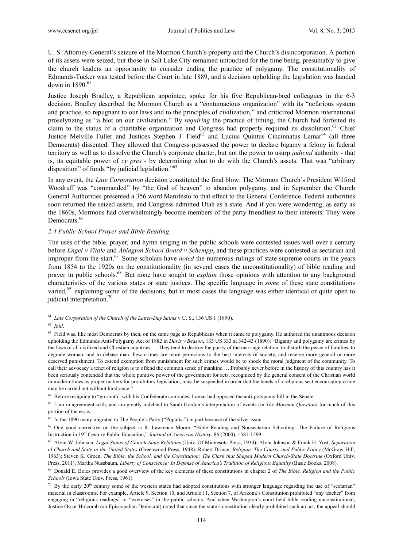U. S. Attorney-General's seizure of the Mormon Church's property and the Church's disincorporation. A portion of its assets were seized, but those in Salt Lake City remained untouched for the time being, presumably to give the church leaders an opportunity to consider ending the practice of polygamy. The constitutionality of Edmunds-Tucker was tested before the Court in late 1889, and a decision upholding the legislation was handed down in 1890.<sup>61</sup>

Justice Joseph Bradley, a Republican appointee, spoke for his five Republican-bred colleagues in the 6-3 decision. Bradley described the Mormon Church as a "contumacious organization" with its "nefarious system and practice, so repugnant to our laws and to the principles of civilization," and criticized Mormon international proselytizing as "a blot on our civilization." By *requiring* the practice of tithing, the Church had forfeited its claim to the status of a charitable organization and Congress had properly required its dissolution.<sup>62</sup> Chief Justice Melville Fuller and Justices Stephen J. Field<sup>63</sup> and Lucius Quintus Cincinnatus Lamar<sup>64</sup> (all three Democrats) dissented. They allowed that Congress possessed the power to declare bigamy a felony in federal territory as well as to dissolve the Church's corporate charter, but not the power to usurp *judicial* authority - that is, its equitable power of *cy pres* - by determining what to do with the Church's assets. That was "arbitrary disposition" of funds "by judicial legislation."65

In any event, the *Late Corporation* decision constituted the final blow: The Mormon Church's President Wilford Woodruff was "commanded" by "the God of heaven" to abandon polygamy, and in September the Church General Authorities presented a 356 word Manifesto to that effect to the General Conference. Federal authorities soon returned the seized assets, and Congress admitted Utah as a state. And if you were wondering, as early as the 1860s, Mormons had overwhelmingly become members of the party friendliest to their interests: They were Democrats.<sup>66</sup>

#### *2.4 Public-School Prayer and Bible Reading*

The uses of the bible, prayer, and hymn singing in the public schools were contested issues well over a century before *Engel v Vitale* and *Abington School Board v Schempp*, and these practices were contested as sectarian and improper from the start.<sup>67</sup> Some scholars have *noted* the numerous rulings of state supreme courts in the years from 1854 to the 1920s on the constitutionality (in several cases the unconstitutionality) of bible reading and prayer in public schools.68 But none have sought to *explain* those opinions with attention to any background characteristics of the various states or state justices. The specific language in *some* of these state constitutions varied,<sup>69</sup> explaining some of the decisions, but in most cases the language was either identical or quite open to judicial interpretation.<sup>70</sup>

 $\overline{a}$ 

64 Before resigning to "go south" with his Confederate comrades, Lamar had opposed the anti-polygamy bill in the Senate.

65 I am in agreement with, and am greatly indebted to Sarah Gordon's interpretation of events (in *The Mormon Question)* for much of this portion of the essay.

<sup>61</sup> *Late Corporation of the Church of the Latter-Day Saints* v U. S., 136 US 1 (1890).

<sup>62</sup> *Ibid*.

 $63$  Field was, like most Democrats by then, on the same page as Republicans when it came to polygamy. He authored the unanimous decision upholding the Edmunds Anti-Polygamy Act of 1882 in *Davis v Beason*, 133 US 333 at 342-43 (1890): "Bigamy and polygamy are crimes by the laws of all civilized and Christian countries…..They tend to destroy the purity of the marriage relation, to disturb the peace of families, to degrade woman, and to debase man. Few crimes are more pernicious to the best interests of society, and receive more general or more deserved punishment. To extend exemption from punishment for such crimes would be to shock the moral judgment of the community. To call their advocacy a tenet of religion is to offend the common sense of mankind ….Probably never before in the history of this country has it been seriously contended that the whole punitive power of the government for acts, recognized by the general consent of the Christian world in modern times as proper matters for prohibitory legislation, must be suspended in order that the tenets of a religious sect encouraging crime may be carried out without hindrance."

<sup>&</sup>lt;sup>66</sup> In the 1890 many migrated to The People's Party ("Populist") in part because of the silver issue.

<sup>&</sup>lt;sup>67</sup> One good corrective on the subject is R. Lawrence Moore, "Bible Reading and Nonsectarian Schooling: The Failure of Religious Instruction in 19<sup>th</sup> Century Public Education," *Journal of American History*, 86 (2000), 1581-1599.

<sup>68</sup> Alvin W. Johnson, *Legal Status of Church-State Relations* (Univ. Of Minnesota Press, 1934); Alvin Johnson & Frank H. Yost, *Separation of Church and State in the United States* (Greenwood Press, 1948); Robert Drinan, *Religion, The Courts, and Public Policy* (McGraw-Hill, 1963); Steven K. Green, *The Bible, the School, and the Constitution: The Clash that Shaped Modern Church-State Doctrine* (Oxford Univ. Press, 2011), Martha Nussbaum, *Liberty of Conscience: In Defense of America's Tradition of Religious Equality* (Basic Books, 2008).

<sup>69</sup> Donald E. Boles provides a good overview of the key elements of these constitutions in chapter 2 of *The Bible, Religion and the Public Schools* (Iowa State Univ. Press, 1961).

 $70$  By the early 20<sup>th</sup> century some of the western states had adopted constitutions with stronger language regarding the use of "sectarian" material in classrooms. For example, Article 9, Section 10, and Article 11, Section 7, of Arizona's Constitution prohibited "any teacher" from engaging in "religious readings" or "exercises" in the public schools. And when Washington's court held bible reading unconstitutional, Justice Oscar Holcomb (an Episcopalian Democrat) noted that since the state's constitution clearly prohibited such an act, the appeal should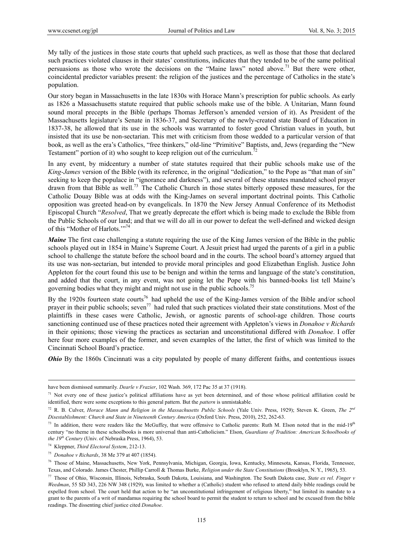My tally of the justices in those state courts that upheld such practices, as well as those that those that declared such practices violated clauses in their states' constitutions, indicates that they tended to be of the same political persuasions as those who wrote the decisions on the "Maine laws" noted above.<sup>71</sup> But there were other, coincidental predictor variables present: the religion of the justices and the percentage of Catholics in the state's population.

Our story began in Massachusetts in the late 1830s with Horace Mann's prescription for public schools. As early as 1826 a Massachusetts statute required that public schools make use of the bible. A Unitarian, Mann found sound moral precepts in the Bible (perhaps Thomas Jefferson's amended version of it). As President of the Massachusetts legislature's Senate in 1836-37, and Secretary of the newly-created state Board of Education in 1837-38, he allowed that its use in the schools was warranted to foster good Christian values in youth, but insisted that its use be non-sectarian. This met with criticism from those wedded to a particular version of that book, as well as the era's Catholics, "free thinkers," old-line "Primitive" Baptists, and, Jews (regarding the "New Testament" portion of it) who sought to keep religion out of the curriculum.<sup>72</sup>

In any event, by midcentury a number of state statutes required that their public schools make use of the *King-James* version of the Bible (with its reference, in the original "dedication," to the Pope as "that man of sin" seeking to keep the populace in "ignorance and darkness"), and several of these statutes mandated school prayer drawn from that Bible as well.73 The Catholic Church in those states bitterly opposed these measures, for the Catholic Douay Bible was at odds with the King-James on several important doctrinal points. This Catholic opposition was greeted head-on by evangelicals. In 1870 the New Jersey Annual Conference of its Methodist Episcopal Church "*Resolved*, That we greatly deprecate the effort which is being made to exclude the Bible from the Public Schools of our land; and that we will do all in our power to defeat the well-defined and wicked design of this "Mother of Harlots."<sup>74</sup>

*Maine* The first case challenging a statute requiring the use of the King James version of the Bible in the public schools played out in 1854 in Maine's Supreme Court. A Jesuit priest had urged the parents of a girl in a public school to challenge the statute before the school board and in the courts. The school board's attorney argued that its use was non-sectarian, but intended to provide moral principles and good Elizabethan English. Justice John Appleton for the court found this use to be benign and within the terms and language of the state's constitution, and added that the court, in any event, was not going let the Pope with his banned-books list tell Maine's governing bodies what they might and might not use in the public schools.<sup>75</sup>

By the 1920s fourteen state courts<sup>76</sup> had upheld the use of the King-James version of the Bible and/or school prayer in their public schools; seven<sup>77</sup> had ruled that such practices violated their state constitutions. Most of the plaintiffs in these cases were Catholic, Jewish, or agnostic parents of school-age children. Those courts sanctioning continued use of these practices noted their agreement with Appleton's views in *Donahoe v Richards* in their opinions; those viewing the practices as sectarian and unconstitutional differed with *Donahoe*. I offer here four more examples of the former, and seven examples of the latter, the first of which was limited to the Cincinnati School Board's practice.

*Ohio* By the 1860s Cincinnati was a city populated by people of many different faiths, and contentious issues

have been dismissed summarily. *Dearle v Frazier*, 102 Wash. 369, 172 Pac 35 at 37 (1918).

 $71$  Not every one of these justice's political affiliations have as yet been determined, and of those whose political affiliation could be identified, there were some exceptions to this general pattern. But the *pattern* is unmistakable.

<sup>72</sup> R. B. Culver, *Horace Mann and Religion in the Massachusetts Public Schools* (Yale Univ. Press, 1929); Steven K. Green, *The 2nd Disestablishment: Church and State in Nineteenth Century America* (Oxford Univ. Press, 2010), 252, 262-63.

<sup>&</sup>lt;sup>73</sup> In addition, there were readers like the McGuffey, that were offensive to Catholic parents: Ruth M. Elson noted that in the mid-19<sup>th</sup> century "no theme in these schoolbooks is more universal than anti-Catholicism." Elson, *Guardians of Tradition: American Schoolbooks of the 19th Century* (Univ. of Nebraska Press, 1964), 53.

<sup>74</sup> Kleppner, *Third Electoral System*, 212-13.

<sup>75</sup> *Donahoe v Richards*, 38 Me 379 at 407 (1854).

<sup>76</sup> Those of Maine, Massachusetts, New York, Pennsylvania, Michigan, Georgia, Iowa, Kentucky, Minnesota, Kansas, Florida, Tennessee, Texas, and Colorado. James Chester, Phillip Carroll & Thomas Burke, *Religion under the State Constitutions* (Brooklyn, N. Y., 1965), 53.

<sup>77</sup> Those of Ohio, Wisconsin, Illinois, Nebraska, South Dakota, Louisiana, and Washington. The South Dakota case, *State ex rel. Finger v Weedman*, 55 SD 343, 226 NW 348 (1929), was limited to whether a (Catholic) student who refused to attend daily bible readings could be expelled from school. The court held that action to be "an unconstitutional infringement of religious liberty," but limited its mandate to a grant to the parents of a writ of mandamus requiring the school board to permit the student to return to school and be excused from the bible readings. The dissenting chief justice cited *Donahoe*.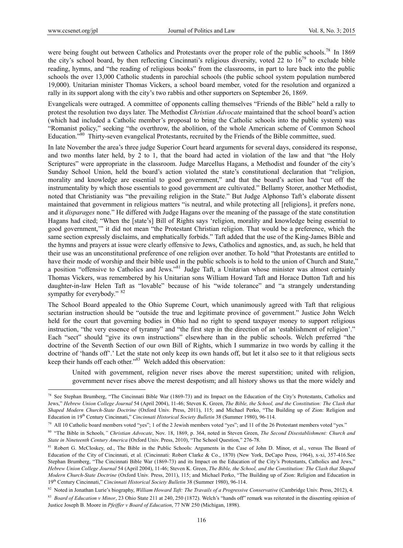$\overline{a}$ 

were being fought out between Catholics and Protestants over the proper role of the public schools.<sup>78</sup> In 1869 the city's school board, by then reflecting Cincinnati's religious diversity, voted 22 to  $16^{79}$  to exclude bible reading, hymns, and "the reading of religious books" from the classrooms, in part to lure back into the public schools the over 13,000 Catholic students in parochial schools (the public school system population numbered 19,000). Unitarian minister Thomas Vickers, a school board member, voted for the resolution and organized a rally in its support along with the city's two rabbis and other supporters on September 26, 1869.

Evangelicals were outraged. A committee of opponents calling themselves "Friends of the Bible" held a rally to protest the resolution two days later. The Methodist *Christian Advocate* maintained that the school board's action (which had included a Catholic member's proposal to bring the Catholic schools into the public system) was "Romanist policy," seeking "the overthrow, the abolition, of the whole American scheme of Common School Education."<sup>80</sup> Thirty-seven evangelical Protestants, recruited by the Friends of the Bible committee, sued.

In late November the area's three judge Superior Court heard arguments for several days, considered its response, and two months later held, by 2 to 1, that the board had acted in violation of the law and that "the Holy Scriptures" were appropriate in the classroom. Judge Marcellus Hagans, a Methodist and founder of the city's Sunday School Union, held the board's action violated the state's constitutional declaration that "religion, morality and knowledge are essential to good government," and that the board's action had "cut off the instrumentality by which those essentials to good government are cultivated." Bellamy Storer, another Methodist, noted that Christianity was "the prevailing religion in the State." But Judge Alphonso Taft's elaborate dissent maintained that government in religious matters "is neutral, and while protecting all [religions], it prefers none, and it *disparages* none." He differed with Judge Hagans over the meaning of the passage of the state constitution Hagans had cited; "When the [state's] Bill of Rights says 'religion, morality and knowledge being essential to good government,'" it did not mean "the Protestant Christian religion. That would be a preference, which the same section expressly disclaims, and emphatically forbids." Taft added that the use of the King-James Bible and the hymns and prayers at issue were clearly offensive to Jews, Catholics and agnostics, and, as such, he held that their use was an unconstitutional preference of one religion over another. To hold "that Protestants are entitled to have their mode of worship and their bible used in the public schools is to hold to the union of Church and State," a position "offensive to Catholics and Jews."81 Judge Taft, a Unitarian whose minister was almost certainly Thomas Vickers, was remembered by his Unitarian sons William Howard Taft and Horace Dutton Taft and his daughter-in-law Helen Taft as "lovable" because of his "wide tolerance" and "a strangely understanding sympathy for everybody." <sup>82</sup>

The School Board appealed to the Ohio Supreme Court, which unanimously agreed with Taft that religious sectarian instruction should be "outside the true and legitimate province of government." Justice John Welch held for the court that governing bodies in Ohio had no right to spend taxpayer money to support religious instruction, "the very essence of tyranny" and "the first step in the direction of an 'establishment of religion'." Each "sect" should "give its own instructions" elsewhere than in the public schools. Welch preferred "the doctrine of the Seventh Section of our own Bill of Rights, which I summarize in two words by calling it the doctrine of 'hands off'.' Let the state not only keep its own hands off, but let it also see to it that religious sects keep their hands off each other.<sup>383</sup> Welch added this observation:

United with government, religion never rises above the merest superstition; united with religion, government never rises above the merest despotism; and all history shows us that the more widely and

<sup>&</sup>lt;sup>78</sup> See Stephan Brumberg, "The Cincinnati Bible War (1869-73) and its Impact on the Education of the City's Protestants, Catholics and Jews," *Hebrew Union College Journal* 54 (April 2004), 11-46; Steven K. Green, *The Bible, the School, and the Constitution: The Clash that Shaped Modern Church-State Doctrine* (Oxford Univ. Press, 2011), 115; and Michael Perko, "The Building up of Zion: Religion and Education in 19th Century Cincinnati," *Cincinnati Historical Society Bulletin* 38 (Summer 1980), 96-114.

<sup>79</sup> All 10 Catholic board members voted "yes"; 1 of the 2 Jewish members voted "yes"; and 11 of the 26 Protestant members voted "yes."

<sup>80 &</sup>quot;The Bible in Schools*," Christian Advocate*, Nov. 18, 1869, p. 364, noted in Steven Green, *The Second Disestablishment: Church and State in Nineteenth Century America* (Oxford Univ. Press, 2010), "The School Question," 276-78.

<sup>81</sup> Robert G. McCloskey, ed., The Bible in the Public Schools: Arguments in the Case of John D. Minor, et al., versus The Board of Education of the City of Cincinnati, et al. (Cincinnati: Robert Clarke & Co., 1870) (New York, DeCapo Press, 1964), x-xi, 357-416.See Stephan Brumberg, "The Cincinnati Bible War (1869-73) and its Impact on the Education of the City's Protestants, Catholics and Jews," *Hebrew Union College Journal* 54 (April 2004), 11-46; Steven K. Green, *The Bible, the School, and the Constitution: The Clash that Shaped Modern Church-State Doctrine* (Oxford Univ. Press, 2011), 115; and Michael Perko, "The Building up of Zion: Religion and Education in 19th Century Cincinnati," *Cincinnati Historical Society Bulletin* 38 (Summer 1980), 96-114.

<sup>82</sup> Noted in Jonathan Lurie's biography, William Howard Taft: The Travails of a Progressive Conservative (Cambridge Univ. Press, 2012), 4.

<sup>&</sup>lt;sup>83</sup> *Board of Education v Minor*, 23 Ohio State 211 at 240, 250 (1872). Welch's "hands off" remark was reiterated in the dissenting opinion of Justice Joseph B. Moore in *Pfeiffer v Board of Education*, 77 NW 250 (Michigan, 1898).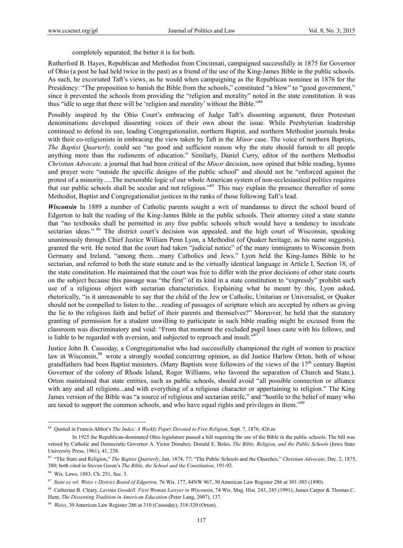completely separated; the better it is for both.

Rutherford B. Hayes, Republican and Methodist from Cincinnati, campaigned successfully in 1875 for Governor of Ohio (a post he had held twice in the past) as a friend of the use of the King-James Bible in the public schools. As such, he excoriated Taft's views, as he would when campaigning as the Republican nominee in 1876 for the Presidency: "The proposition to banish the Bible from the schools," constituted "a blow" to "good government," since it prevented the schools from providing the "religion and morality" noted in the state constitution. It was thus "idle to urge that there will be 'religion and morality' without the Bible."<sup>84</sup>

Possibly inspired by the Ohio Court's embracing of Judge Taft's dissenting argument, three Protestant denominations developed dissenting voices of their own about the issue. While Presbyterian leadership continued to defend its use, leading Congregationalist, northern Baptist, and northern Methodist journals broke with their co-religionists in embracing the view taken by Taft in the *Minor* case. The voice of northern Baptists, *The Baptist Quarterly,* could see "no good and sufficient reason why the state should furnish to all people anything more than the rudiments of education." Similarly, Daniel Curry, editor of the northern Methodist *Christian Advocate,* a journal that had been critical of the *Minor* decision, now opined that bible reading, hymns and prayer were "outside the specific designs of the public school" and should not be "enforced against the protest of a minority….The inexorable logic of our whole American system of non-ecclesiastical politics requires that our public schools shall be secular and not religious."85 This may explain the presence thereafter of some Methodist, Baptist and Congregationalist justices in the ranks of those following Taft's lead.

*Wisconsin* In 1889 a number of Catholic parents sought a writ of mandamus to direct the school board of Edgerton to halt the reading of the King-James Bible in the public schools. Their attorney cited a state statute that "no textbooks shall be permitted in any free public schools which would have a tendency to inculcate sectarian ideas." <sup>86</sup> The district court's decision was appealed, and the high court of Wisconsin, speaking unanimously through Chief Justice William Penn Lyon, a Methodist (of Quaker heritage, as his name suggests), granted the writ. He noted that the court had taken "judicial notice" of the many immigrants to Wisconsin from Germany and Ireland, "among them…many Catholics and Jews." Lyon held the King-James Bible to be sectarian, and referred to both the state statute and to the virtually identical language in Article I, Section 18, of the state constitution. He maintained that the court was free to differ with the prior decisions of other state courts on the subject because this passage was "the first" of its kind in a state constitution to "expressly" prohibit such use of a religious object with sectarian characteristics. Explaining what he meant by this, Lyon asked, rhetorically, "is it unreasonable to say that the child of the Jew or Catholic, Unitarian or Universalist, or Quaker should not be compelled to listen to the…reading of passages of scripture which are accepted by others as giving the lie to the religious faith and belief of their parents and themselves?" Moreover, he held that the statutory granting of permission for a student unwilling to participate in such bible reading might be excused from the classroom was discriminatory and void: "From that moment the excluded pupil loses caste with his fellows, and is liable to be regarded with aversion, and subjected to reproach and insult."<sup>8</sup>

Justice John B. Cassoday, a Congregationalist who had successfully championed the right of women to practice law in Wisconsin.<sup>88</sup> wrote a strongly worded concurring opinion, as did Justice Harlow Orton, both of whose grandfathers had been Baptist ministers. (Many Baptists were followers of the views of the  $17<sup>th</sup>$  century Baptist Governor of the colony of Rhode Island, Roger Williams, who favored the separation of Church and State.). Orton maintained that state entities, such as public schools, should avoid "all possible connection or alliance with any and all religions...and with everything of a religious character or appertaining to religion." The King James version of the Bible was "a source of religious and sectarian strife," and "hostile to the belief of many who are taxed to support the common schools, and who have equal rights and privileges in them."<sup>89</sup>

<sup>84</sup> Quoted in Francis Abbot's *The Index: A Weekly Paper Devoted to Free Religion*, Sept. 7, 1876, 426.m

In 1925 the Republican-dominated Ohio legislature passed a bill requiring the use of the Bible in the public schools. The bill was vetoed by Catholic and Democratic Governor A. Victor Donahey. Donald E. Boles, *The Bible, Religion, and the Public Schools* (Iowa State University Press, 1961), 41, 238.

<sup>85 &</sup>quot;The State and Religion," *The Baptist Quarterly*, Jan. 1874, 77; "The Public Schools and the Churches," *Christian Advocate*, Dec. 2, 1875, 380; both cited in Steven Green's *The Bible, the School and the Constitution*, 191-92.

<sup>86</sup> Wis. Laws, 1883, Ch. 251, Sec. 3.

<sup>87</sup> *State ex rel. Weiss v District Board of Edgerton,* 76 Wis. 177, 44NW 967, 30 American Law Register 286 at 301-303 (1890).

<sup>88</sup> Catherine B. Cleary, *Lavinia Goodell: First Woman Lawyer in Wisconsin*, 74 Wis. Mag. Hist. 243, 245 (1991); James Carper & Thomas C. Hunt, *The Dissenting Tradition in American Education* (Peter Lang, 2007), 137.

<sup>89</sup> *Weiss*, 30 American Law Register 286 at 310 (Cassoday), 318-320 (Orton).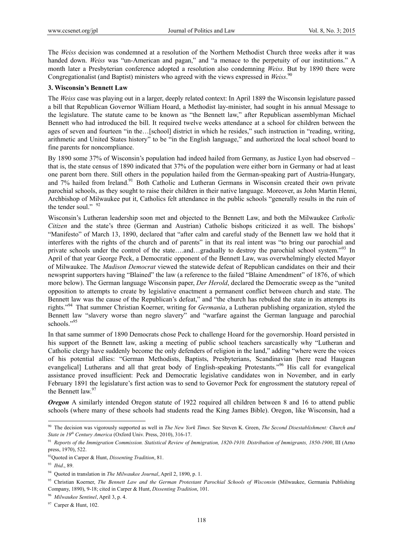The *Weiss* decision was condemned at a resolution of the Northern Methodist Church three weeks after it was handed down. *Weiss* was "un-American and pagan," and "a menace to the perpetuity of our institutions." A month later a Presbyterian conference adopted a resolution also condemning *Weiss*. But by 1890 there were Congregationalist (and Baptist) ministers who agreed with the views expressed in *Weiss*. 90

#### **3. Wisconsin's Bennett Law**

The *Weiss* case was playing out in a larger, deeply related context: In April 1889 the Wisconsin legislature passed a bill that Republican Governor William Hoard, a Methodist lay-minister, had sought in his annual Message to the legislature. The statute came to be known as "the Bennett law," after Republican assemblyman Michael Bennett who had introduced the bill. It required twelve weeks attendance at a school for children between the ages of seven and fourteen "in the…[school] district in which he resides," such instruction in "reading, writing, arithmetic and United States history" to be "in the English language," and authorized the local school board to fine parents for noncompliance.

By 1890 some 37% of Wisconsin's population had indeed hailed from Germany, as Justice Lyon had observed – that is, the state census of 1890 indicated that 37% of the population were either born in Germany or had at least one parent born there. Still others in the population hailed from the German-speaking part of Austria-Hungary, and 7% hailed from Ireland.<sup>91</sup> Both Catholic and Lutheran Germans in Wisconsin created their own private parochial schools, as they sought to raise their children in their native language. Moreover, as John Martin Henni, Archbishop of Milwaukee put it, Catholics felt attendance in the public schools "generally results in the ruin of the tender soul." 92

Wisconsin's Lutheran leadership soon met and objected to the Bennett Law, and both the Milwaukee *Catholic Citizen* and the state's three (German and Austrian) Catholic bishops criticized it as well. The bishops' "Manifesto" of March 13, 1890, declared that "after calm and careful study of the Bennett law we hold that it interferes with the rights of the church and of parents" in that its real intent was "to bring our parochial and private schools under the control of the state….and…gradually to destroy the parochial school system."<sup>93</sup> In April of that year George Peck, a Democratic opponent of the Bennett Law, was overwhelmingly elected Mayor of Milwaukee. The *Madison Democrat* viewed the statewide defeat of Republican candidates on their and their newsprint supporters having "Blained" the law (a reference to the failed "Blaine Amendment" of 1876, of which more below). The German language Wisconsin paper, *Der Herold*, declared the Democratic sweep as the "united opposition to attempts to create by legislative enactment a permanent conflict between church and state. The Bennett law was the cause of the Republican's defeat," and "the church has rebuked the state in its attempts its rights."94 That summer Christian Koerner, writing for *Germania*, a Lutheran publishing organization, styled the Bennett law "slavery worse than negro slavery" and "warfare against the German language and parochial schools."<sup>95</sup>

In that same summer of 1890 Democrats chose Peck to challenge Hoard for the governorship. Hoard persisted in his support of the Bennett law, asking a meeting of public school teachers sarcastically why "Lutheran and Catholic clergy have suddenly become the only defenders of religion in the land," adding "where were the voices of his potential allies: "German Methodists, Baptists, Presbyterians, Scandinavian [here read Haugean evangelical] Lutherans and all that great body of English-speaking Protestants."96 His call for evangelical assistance proved insufficient: Peck and Democratic legislative candidates won in November, and in early February 1891 the legislature's first action was to send to Governor Peck for engrossment the statutory repeal of the Bennett law.<sup>97</sup>

*Oregon* A similarly intended Oregon statute of 1922 required all children between 8 and 16 to attend public schools (where many of these schools had students read the King James Bible). Oregon, like Wisconsin, had a

<sup>90</sup> The decision was vigorously supported as well in *The New York Times.* See Steven K. Green, *The Second Disestablishment: Church and State in 19th Century America* (Oxford Univ. Press, 2010), 316-17.

<sup>&</sup>lt;sup>91</sup> Reports of the Immigration Commission. Statistical Review of Immigration, 1820-1910. Distribution of Immigrants, 1850-1900, III (Arno press, 1970), 522.

<sup>92</sup>Quoted in Carper & Hunt, *Dissenting Tradition*, 81.

<sup>93</sup> *Ibid*., 89.

<sup>94</sup> Quoted in translation in *The Milwaukee Journal*, April 2, 1890, p. 1.

<sup>&</sup>lt;sup>95</sup> Christian Koerner, *The Bennett Law and the German Protestant Parochial Schools of Wisconsin* (Milwaukee, Germania Publishing Company, 1890), 9-18; cited in Carper & Hunt, *Dissenting Tradition*, 101.

<sup>96</sup> *Milwaukee Sentinel*, April 3, p. 4.

 $97$  Carper & Hunt, 102.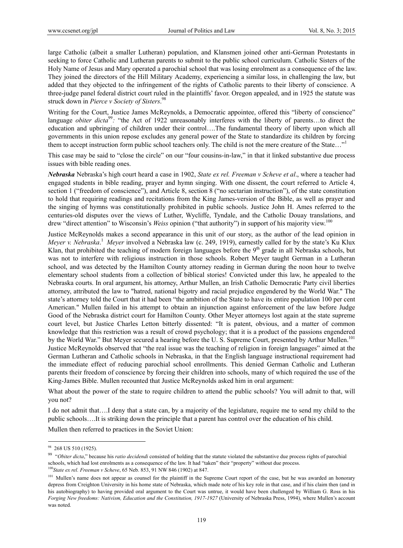large Catholic (albeit a smaller Lutheran) population, and Klansmen joined other anti-German Protestants in seeking to force Catholic and Lutheran parents to submit to the public school curriculum. Catholic Sisters of the Holy Name of Jesus and Mary operated a parochial school that was losing enrolment as a consequence of the law. They joined the directors of the Hill Military Academy, experiencing a similar loss, in challenging the law, but added that they objected to the infringement of the rights of Catholic parents to their liberty of conscience. A three-judge panel federal district court ruled in the plaintiffs' favor. Oregon appealed, and in 1925 the statute was struck down in *Pierce v Society of Sisters*. 98

Writing for the Court, Justice James McReynolds, a Democratic appointee, offered this "liberty of conscience" language *obiter dicta*<sup>99</sup>: "the Act of 1922 unreasonably interferes with the liberty of parents...to direct the education and upbringing of children under their control….The fundamental theory of liberty upon which all governments in this union repose excludes any general power of the State to standardize its children by forcing them to accept instruction form public school teachers only. The child is not the mere creature of the State..."<sup>1</sup>

This case may be said to "close the circle" on our "four cousins-in-law," in that it linked substantive due process issues with bible reading ones.

*Nebraska* Nebraska's high court heard a case in 1902, *State ex rel. Freeman v Scheve et al*., where a teacher had engaged students in bible reading, prayer and hymn singing. With one dissent, the court referred to Article 4, section 1 ("freedom of conscience"), and Article 8, section 8 ("no sectarian instruction"), of the state constitution to hold that requiring readings and recitations from the King James-version of the Bible, as well as prayer and the singing of hymns was constitutionally prohibited in public schools. Justice John H. Ames referred to the centuries-old disputes over the views of Luther, Wycliffe, Tyndale, and the Catholic Douay translations, and drew "direct attention" to Wisconsin's *Weiss* opinion ("that authority") in support of his majority view.<sup>100</sup>

Justice McReynolds makes a second appearance in this unit of our story, as the author of the lead opinion in *Meyer v. Nebraska*. <sup>1</sup> *Meyer* involved a Nebraska law (c. 249, 1919), earnestly called for by the state's Ku Klux Klan, that prohibited the teaching of modern foreign languages before the  $9<sup>th</sup>$  grade in all Nebraska schools, but was not to interfere with religious instruction in those schools. Robert Meyer taught German in a Lutheran school, and was detected by the Hamilton County attorney reading in German during the noon hour to twelve elementary school students from a collection of biblical stories! Convicted under this law, he appealed to the Nebraska courts. In oral argument, his attorney, Arthur Mullen, an Irish Catholic Democratic Party civil liberties attorney, attributed the law to "hatred, national bigotry and racial prejudice engendered by the World War." The state's attorney told the Court that it had been "the ambition of the State to have its entire population 100 per cent American." Mullen failed in his attempt to obtain an injunction against enforcement of the law before Judge Good of the Nebraska district court for Hamilton County. Other Meyer attorneys lost again at the state supreme court level, but Justice Charles Letton bitterly dissented: "It is patent, obvious, and a matter of common knowledge that this restriction was a result of crowd psychology; that it is a product of the passions engendered by the World War." But Meyer secured a hearing before the U.S. Supreme Court, presented by Arthur Mullen.<sup>101</sup> Justice McReynolds observed that "the real issue was the teaching of religion in foreign languages" aimed at the German Lutheran and Catholic schools in Nebraska, in that the English language instructional requirement had the immediate effect of reducing parochial school enrollments. This denied German Catholic and Lutheran parents their freedom of conscience by forcing their children into schools, many of which required the use of the King-James Bible. Mullen recounted that Justice McReynolds asked him in oral argument:

What about the power of the state to require children to attend the public schools? You will admit to that, will you not?

I do not admit that….I deny that a state can, by a majority of the legislature, require me to send my child to the public schools….It is striking down the principle that a parent has control over the education of his child.

Mullen then referred to practices in the Soviet Union:

<sup>&</sup>lt;sup>98</sup> 268 US 510 (1925).

<sup>&</sup>lt;sup>99</sup> "Obiter dicta," because his *ratio decidendi* consisted of holding that the statute violated the substantive due process rights of parochial schools, which had lost enrolments as a consequence of the law. It had "taken" their "property" without due process.

<sup>100</sup>*State ex rel. Freeman v Scheve*, 65 Neb. 853, 91 NW 846 (1902) at 847.

<sup>&</sup>lt;sup>101</sup> Mullen's name does not appear as counsel for the plaintiff in the Supreme Court report of the case, but he was awarded an honorary depress from Creighton University in his home state of Nebraska, which made note of his key role in that case, and if his claim then (and in his autobiography) to having provided oral argument to the Court was untrue, it would have been challenged by William G. Ross in his *Forging New freedoms: Nativism, Education and the Constitution, 1917-1927* (University of Nebraska Press, 1994), where Mullen's account was noted.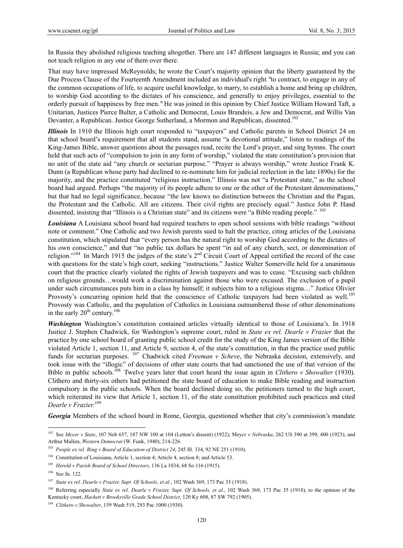In Russia they abolished religious teaching altogether. There are 147 different languages in Russia; and you can not teach religion in any one of them over there.

That may have impressed McReynolds; he wrote the Court's majority opinion that the liberty guaranteed by the Due Process Clause of the Fourteenth Amendment included an individual's right *"*to contract, to engage in any of the common occupations of life, to acquire useful knowledge, to marry, to establish a home and bring up children, to worship God according to the dictates of his conscience, and generally to enjoy privileges, essential to the orderly pursuit of happiness by free men.*"* He was joined in this opinion by Chief Justice William Howard Taft, a Unitarian, Justices Pierce Bulter, a Catholic and Democrat, Louis Brandeis, a Jew and Democrat, and Willis Van Devanter, a Republican. Justice George Sutherland, a Mormon and Republican, dissented.<sup>102</sup>

*Illinois* In 1910 the Illinois high court responded to "taxpayers" and Catholic parents in School District 24 on that school board's requirement that all students stand, assume "a devotional attitude," listen to readings of the King-James Bible, answer questions about the passages read, recite the Lord's prayer, and sing hymns. The court held that such acts of "compulsion to join in any form of worship," violated the state constitution's provision that no unit of the state aid "any church or sectarian purpose." "Prayer is always worship," wrote Justice Frank K. Dunn (a Republican whose party had declined to re-nominate him for judicial reelection in the late 1890s) for the majority, and the practice constituted "religious instruction." Illinois was not "a Protestant state," as the school board had argued. Perhaps "the majority of its people adhere to one or the other of the Protestant denominations," but that had no legal significance, because "the law knows no distinction between the Christian and the Pagan, the Protestant and the Catholic. All are citizens. Their civil rights are precisely equal." Justice John P. Hand dissented, insisting that "Illinois is a Christian state" and its citizens were "a Bible reading people." <sup>103</sup>

*Louisiana* A Louisiana school board had required teachers to open school sessions with bible readings "without note or comment." One Catholic and two Jewish parents sued to halt the practice, citing articles of the Louisiana constitution, which stipulated that "every person has the natural right to worship God according to the dictates of his own conscience," and that "no public tax dollars be spent "in aid of any church, sect, or denomination of religion."<sup>104</sup> In March 1915 the judges of the state's 2<sup>nd</sup> Circuit Court of Appeal certified the record of the case with questions for the state's high court, seeking "instructions." Justice Walter Somerville held for a unanimous court that the practice clearly violated the rights of Jewish taxpayers and was to cease. "Excusing such children on religious grounds…would work a discrimination against those who were excused. The exclusion of a pupil under such circumstances puts him in a class by himself; it subjects him to a religious stigma…" Justice Olivier Provosty's concurring opinion held that the conscience of Catholic taxpayers had been violated as well.<sup>105</sup> Provosty was Catholic, and the population of Catholics in Louisiana outnumbered those of other denominations in the early  $20<sup>th</sup>$  century.<sup>106</sup>

*Washington* Washington's constitution contained articles virtually identical to those of Louisiana's. In 1918 Justice J. Stephen Chadwick, for Washington's supreme court, ruled in *State ex rel. Dearle v Frazier* that the practice by one school board of granting public school credit for the study of the King James version of the Bible violated Article 1, section 11, and Article 9, section 4, of the state's constitution, in that the practice used public funds for sectarian purposes. 107 Chadwick cited *Freeman v Scheve*, the Nebraska decision, extensively, and took issue with the "illogic" of decisions of other state courts that had sanctioned the use of that version of the Bible in public schools.108 Twelve years later that court heard the issue again in *Clithero v Showalter* (1930). Clithero and thirty-six others had petitioned the state board of education to make Bible reading and instruction compulsory in the public schools. When the board declined doing so, the petitioners turned to the high court, which reiterated its view that Article 1, section 11, of the state constitution prohibited such practices and cited *Dearle v Frazier.109*

*Georgia* Members of the school board in Rome, Georgia, questioned whether that city's commission's mandate

<sup>102</sup> See *Meyer v State*, 107 Neb 657, 187 NW 100 at 104 (Letton's dissent) (1922); Mey*er v Nebraska*, 262 US 390 at 399, 400 (1923); and Arthur Mullen, *Western Democrat* (W. Funk, 1940), 214-226.

<sup>103</sup> *People ex rel. Ring v Board of Education of District 24*, 245 Ill. 334, 92 NE 251 (1910).

<sup>&</sup>lt;sup>104</sup> Constitution of Louisiana, Article 1, section 4; Article 4, section 8; and Article 53.

<sup>105</sup> *Herold v Parish Board of School Directors*, 136 La 1034, 68 So 116 (1915).

<sup>106</sup> See fn. 122.

<sup>107</sup> *State ex rel. Dearle v Frazier, Supt. Of Schools, et al*., 102 Wash 369, 173 Pac 35 (1918).

<sup>&</sup>lt;sup>108</sup> Referring especially *State ex rel. Dearle v Frazier, Supt. Of Schools, et al.*, 102 Wash 369, 173 Pac 35 (1918), to the opinion of the Kentucky court, *Hackett v Brooksville Grade School District*, 120 Ky 608, 87 SW 792 (1905).

<sup>109</sup> *Clithero v Showalter*, 159 Wash 519, 293 Pac 1000 (1930).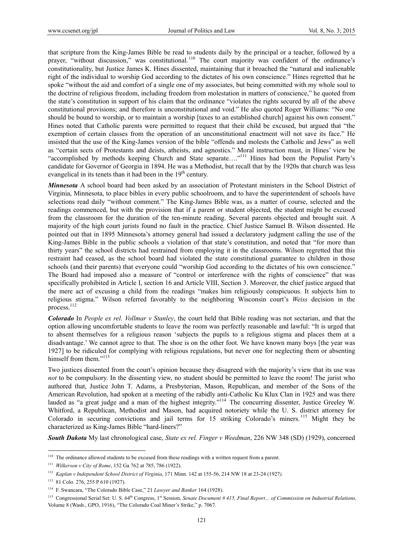that scripture from the King-James Bible be read to students daily by the principal or a teacher, followed by a prayer, "without discussion," was constitutional.110 The court majority was confident of the ordinance's constitutionality, but Justice James K. Hines dissented, maintaining that it broached the "natural and inalienable right of the individual to worship God according to the dictates of his own conscience." Hines regretted that he spoke "without the aid and comfort of a single one of my associates, but being committed with my whole soul to the doctrine of religious freedom, including freedom from molestation in matters of conscience," he quoted from the state's constitution in support of his claim that the ordinance "violates the rights secured by all of the above constitutional provisions; and therefore is unconstitutional and void." He also quoted Roger Williams: "No one should be bound to worship, or to maintain a worship [taxes to an established church] against his own consent." Hines noted that Catholic parents were permitted to request that their child be excused, but argued that "the exemption of certain classes from the operation of an unconstitutional enactment will not save its face." He insisted that the use of the King-James version of the bible "offends and molests the Catholic and Jews" as well as "certain sects of Protestants and deists, atheists, and agnostics." Moral instruction must, in Hines' view be "accomplished by methods keeping Church and State separate...."<sup>111</sup> Hines had been the Populist Party's candidate for Governor of Georgia in 1894. He was a Methodist, but recall that by the 1920s that church was less evangelical in its tenets than it had been in the  $19<sup>th</sup>$  century.

*Minnesota* A school board had been asked by an association of Protestant ministers in the School District of Virginia, Minnesota, to place bibles in every public schoolroom, and to have the superintendent of schools have selections read daily "without comment." The King-James Bible was, as a matter of course, selected and the readings commenced, but with the provision that if a parent or student objected, the student might be excused from the classroom for the duration of the ten-minute reading. Several parents objected and brought suit. A majority of the high court jurists found no fault in the practice. Chief Justice Samuel B. Wilson dissented. He pointed out that in 1895 Minnesota's attorney general had issued a declaratory judgment calling the use of the King-James Bible in the public schools a violation of that state's constitution, and noted that "for more than thirty years" the school districts had restrained from employing it in the classrooms. Wilson regretted that this restraint had ceased, as the school board had violated the state constitutional guarantee to children in those schools (and their parents) that everyone could "worship God according to the dictates of his own conscience." The Board had imposed also a measure of "control or interference with the rights of conscience" that was specifically prohibited in Article I, section 16 and Article VIII, Section 3. Moreover, the chief justice argued that the mere act of excusing a child from the readings "makes him religiously conspicuous. It subjects him to religious stigma." Wilson referred favorably to the neighboring Wisconsin court's *Weiss* decision in the process.<sup>112</sup>

*Colorado* In *People ex rel. Vollmar v Stanley*, the court held that Bible reading was not sectarian, and that the option allowing uncomfortable students to leave the room was perfectly reasonable and lawful: "It is urged that to absent themselves for a religious reason 'subjects the pupils to a religious stigma and places them at a disadvantage.' We cannot agree to that. The shoe is on the other foot. We have known many boys [the year was 1927] to be ridiculed for complying with religious regulations, but never one for neglecting them or absenting himself from them."<sup>113</sup>

Two justices dissented from the court's opinion because they disagreed with the majority's view that its use was *not* to be compulsory. In the dissenting view, no student should be permitted to leave the room! The jurist who authored that, Justice John T. Adams, a Presbyterian, Mason, Republican, and member of the Sons of the American Revolution, had spoken at a meeting of the rabidly anti-Catholic Ku Klux Clan in 1925 and was there lauded as "a great judge and a man of the highest integrity."<sup>114</sup> The concurring dissenter, Justice Greeley W. Whitford, a Republican, Methodist and Mason, had acquired notoriety while the U. S. district attorney for Colorado in securing convictions and jail terms for 15 striking Colorado's miners.<sup>115</sup> Might they be characterized as King-James Bible "hard-liners?"

*South Dakota* My last chronological case, *State ex rel. Finger v Weedman*, 226 NW 348 (SD) (1929), concerned

 $110$  The ordinance allowed students to be excused from these readings with a written request from a parent.

<sup>111</sup> *Wilkerson v City of Rome*, 152 Ga 762 at 785, 786 (1922).

<sup>112</sup> *Kaplan v Independent School District of Virginia*, 171 Minn. 142 at 155-56, 214 NW 18 at 23-24 (1927*).*

<sup>113 81</sup> Colo. 276, 255 P 610 (1927).

<sup>114</sup> F. Swancara, "The Colorado Bible Case," 21 *Lawyer and Banker* 164 (1928).

<sup>&</sup>lt;sup>115</sup> Congressional Serial Set: U. S. 64<sup>th</sup> Congress, 1<sup>st</sup> Session, *Senate Document #415, Final Report... of Commission on Industrial Relations,* Volume 8 (Wash., GPO, 1916), "The Colorado Coal Miner's Strike," p. 7067.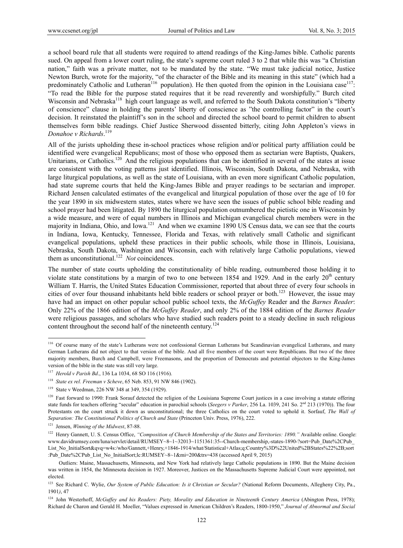a school board rule that all students were required to attend readings of the King-James bible. Catholic parents sued. On appeal from a lower court ruling, the state's supreme court ruled 3 to 2 that while this was "a Christian nation," faith was a private matter, not to be mandated by the state. "We must take judicial notice, Justice Newton Burch, wrote for the majority, "of the character of the Bible and its meaning in this state" (which had a predominately Catholic and Lutheran<sup>116</sup> population). He then quoted from the opinion in the Louisiana case<sup>117</sup>: "To read the Bible for the purpose stated requires that it be read reverently and worshipfully." Burch cited Wisconsin and Nebraska<sup>118</sup> high court language as well, and referred to the South Dakota constitution's "liberty of conscience" clause in holding the parents' liberty of conscience as "the controlling factor" in the court's decision. It reinstated the plaintiff's son in the school and directed the school board to permit children to absent themselves form bible readings. Chief Justice Sherwood dissented bitterly, citing John Appleton's views in *Donahoe v Richards*. 119

All of the jurists upholding these in-school practices whose religion and/or political party affiliation could be identified were evangelical Republicans; most of those who opposed them as sectarian were Baptists, Quakers, Unitarians, or Catholics.<sup>120</sup> And the religious populations that can be identified in several of the states at issue are consistent with the voting patterns just identified. Illinois, Wisconsin, South Dakota, and Nebraska, with large liturgical populations, as well as the state of Louisiana, with an even more significant Catholic population, had state supreme courts that held the King-James Bible and prayer readings to be sectarian and improper. Richard Jensen calculated estimates of the evangelical and liturgical population of those over the age of 10 for the year 1890 in six midwestern states, states where we have seen the issues of public school bible reading and school prayer had been litigated. By 1890 the liturgical population outnumbered the pietistic one in Wisconsin by a wide measure, and were of equal numbers in Illinois and Michigan evangelical church members were in the majority in Indiana, Ohio, and Iowa.<sup>121</sup> And when we examine 1890 US Census data, we can see that the courts in Indiana, Iowa, Kentucky, Tennessee, Florida and Texas, with relatively small Catholic and significant evangelical populations, upheld these practices in their public schools, while those in Illinois, Louisiana, Nebraska, South Dakota, Washington and Wisconsin, each with relatively large Catholic populations, viewed them as unconstitutional.<sup>122</sup> *Not* coincidences.

The number of state courts upholding the constitutionality of bible reading, outnumbered those holding it to violate state constitutions by a margin of two to one between 1854 and 1929. And in the early  $20<sup>th</sup>$  century William T. Harris, the United States Education Commissioner, reported that about three of every four schools in cities of over four thousand inhabitants held bible readers or school prayer or both.<sup>123</sup> However, the issue may have had an impact on other popular school public school texts, the *McGuffey* Reader and the *Barnes Reader*: Only 22% of the 1866 edition of the *McGuffey Reader*, and only 2% of the 1884 edition of the *Barnes Reader* were religious passages, and scholars who have studied such readers point to a steady decline in such religious content throughout the second half of the nineteenth century.<sup>124</sup>

<sup>&</sup>lt;sup>116</sup> Of course many of the state's Lutherans were not confessional German Lutherans but Scandinavian evangelical Lutherans, and many German Lutherans did not object to that version of the bible. And all five members of the court were Republicans. But two of the three majority members, Burch and Campbell, were Freemasons, and the proportion of Democrats and potential objectors to the King-James version of the bible in the state was still very large.

<sup>117</sup> *Herold v Parish Bd*., 136 La 1034, 68 SO 116 (1916).

<sup>118</sup> *State ex rel. Freeman v Scheve*, 65 Neb. 853, 91 NW 846 (1902).

<sup>119</sup> State v Weedman, 226 NW 348 at 349, 354 (1929).

<sup>&</sup>lt;sup>120</sup> Fast forward to 1990: Frank Sorauf detected the religion of the Louisiana Supreme Court justices in a case involving a statute offering state funds for teachers offering "secular" education in parochial schools (*Seegers v Parker*, 256 La. 1039, 241 So. 2<sup>nd</sup> 213 (1970)). The four Protestants on the court struck it down as unconstitutional; the three Catholics on the court voted to uphold it. Sorfauf, *The Wall of Separation: The Constitutional Politics of Church and State* (Princeton Univ. Press, 1976), 222.

<sup>121</sup> Jensen, *Winning of the Midwest*, 87-88.

<sup>&</sup>lt;sup>122</sup> Henry Gannett, U. S. Census Office, "Composition of Church Membership of the States and Territories: 1890." Available online. Google: www.davidrumsey.com/luna/servlet/detail/RUMSEY~8~1~32013~1151361:35--Church-membership,-states-1890-?sort=Pub\_Date%2CPub\_ List\_No\_InitialSort&qvq=w4s:/who/Gannett,+Henry,+1846-1914/what/Statistical+Atlas;q:Country%3D%22United%2BStates%22%2B;sort :Pub\_Date%2CPub\_List\_No\_InitialSort;lc:RUMSEY~8~1&mi=200&trs=438 (accessed April 9, 2015)

Outliers: Maine, Massachusetts, Minnesota, and New York had relatively large Catholic populations in 1890. But the Maine decision was written in 1854, the Minnesota decision in 1927. Moreover, Justices on the Massachusetts Supreme Judicial Court were appointed, not elected.

<sup>&</sup>lt;sup>123</sup> See Richard C. Wylie, *Our System of Public Education: Is it Christian or Secular?* (National Reform Documents, Allegheny City, Pa., 1901*)*, 47

<sup>124</sup> John Westerhoff, *McGuffey and his Readers: Piety, Morality and Education in Nineteenth Century America* (Abington Press, 1978); Richard de Charon and Gerald H. Moeller, "Values expressed in American Children's Readers, 1800-1950," *Journal of Abnormal and Social*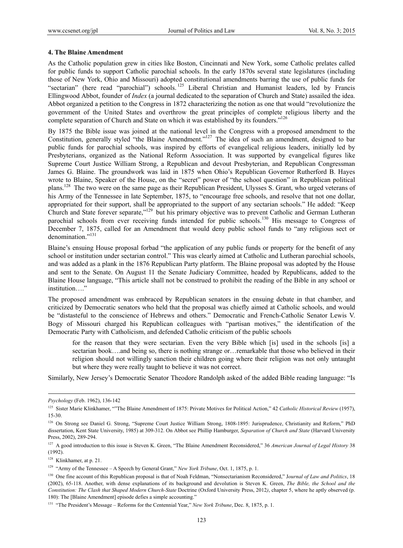#### **4. The Blaine Amendment**

As the Catholic population grew in cities like Boston, Cincinnati and New York, some Catholic prelates called for public funds to support Catholic parochial schools. In the early 1870s several state legislatures (including those of New York, Ohio and Missouri) adopted constitutional amendments barring the use of public funds for "sectarian" (here read "parochial") schools. 125 Liberal Christian and Humanist leaders, led by Francis Ellingwood Abbot, founder of *Index* (a journal dedicated to the separation of Church and State) assailed the idea. Abbot organized a petition to the Congress in 1872 characterizing the notion as one that would "revolutionize the government of the United States and overthrow the great principles of complete religious liberty and the complete separation of Church and State on which it was established by its founders."<sup>126</sup>

By 1875 the Bible issue was joined at the national level in the Congress with a proposed amendment to the Constitution, generally styled "the Blaine Amendment."<sup>127</sup> The idea of such an amendment, designed to bar public funds for parochial schools, was inspired by efforts of evangelical religious leaders, initially led by Presbyterians, organized as the National Reform Association. It was supported by evangelical figures like Supreme Court Justice William Strong, a Republican and devout Presbyterian, and Republican Congressman James G. Blaine. The groundwork was laid in 1875 when Ohio's Republican Governor Rutherford B. Hayes wrote to Blaine, Speaker of the House, on the "secret" power of "the school question" in Republican political plans.128 The two were on the same page as their Republican President, Ulysses S. Grant, who urged veterans of his Army of the Tennessee in late September, 1875, to "encourage free schools, and resolve that not one dollar, appropriated for their support, shall be appropriated to the support of any sectarian schools." He added: "Keep Church and State forever separate,"129 but his primary objective was to prevent Catholic and German Lutheran parochial schools from ever receiving funds intended for public schools.<sup>130</sup> His message to Congress of December 7, 1875, called for an Amendment that would deny public school funds to "any religious sect or denomination."<sup>131</sup>

Blaine's ensuing House proposal forbad "the application of any public funds or property for the benefit of any school or institution under sectarian control." This was clearly aimed at Catholic and Lutheran parochial schools, and was added as a plank in the 1876 Republican Party platform. The Blaine proposal was adopted by the House and sent to the Senate. On August 11 the Senate Judiciary Committee, headed by Republicans, added to the Blaine House language, "This article shall not be construed to prohibit the reading of the Bible in any school or institution…."

The proposed amendment was embraced by Republican senators in the ensuing debate in that chamber, and criticized by Democratic senators who held that the proposal was chiefly aimed at Catholic schools, and would be "distasteful to the conscience of Hebrews and others." Democratic and French-Catholic Senator Lewis V. Bogy of Missouri charged his Republican colleagues with "partisan motives," the identification of the Democratic Party with Catholicism, and defended Catholic criticism of the public schools

for the reason that they were sectarian. Even the very Bible which [is] used in the schools [is] a sectarian book….and being so, there is nothing strange or…remarkable that those who believed in their religion should not willingly sanction their children going where their religion was not only untaught but where they were really taught to believe it was not correct.

Similarly, New Jersey's Democratic Senator Theodore Randolph asked of the added Bible reading language: "Is

*Psychology* (Feb. 1962), 136-142

<sup>&</sup>lt;sup>125</sup> Sister Marie Klinkhamer, ""The Blaine Amendment of 1875: Private Motives for Political Action," 42 *Catholic Historical Review* (1957), 15-30.

<sup>&</sup>lt;sup>126</sup> On Strong see Daniel G. Strong, "Supreme Court Justice William Strong, 1808-1895: Jurisprudence, Christianity and Reform," PhD dissertation, Kent State University, 1985) at 309-312. On Abbot see Phillip Hamburger, *Separation of Church and State* (Harvard University Press, 2002), 289-294.

<sup>&</sup>lt;sup>127</sup> A good introduction to this issue is Steven K. Green, "The Blaine Amendment Reconsidered," 36 American Journal of Legal History 38 (1992).

<sup>&</sup>lt;sup>128</sup> Klinkhamer, at p. 21.

<sup>&</sup>lt;sup>129</sup> "Army of the Tennessee – A Speech by General Grant," *New York Tribune*, Oct. 1, 1875, p. 1.

<sup>&</sup>lt;sup>130</sup> One fine account of this Republican proposal is that of Noah Feldman, "Nonsectarianism Reconsidered," Journal of Law and Politics, 18 (2002), 65-118. Another, with dense explanations of its background and devolution is Steven K. Green, *The Bible, the School and the Constitution: The Clash that Shaped Modern Church-State* Doctrine (Oxford University Press, 2012*)*, chapter 5, where he aptly observed (p. 180): The [Blaine Amendment] episode defies a simple accounting."

<sup>131 &</sup>quot;The President's Message – Reforms for the Centennial Year," *New York Tribune*, Dec. 8, 1875, p. 1.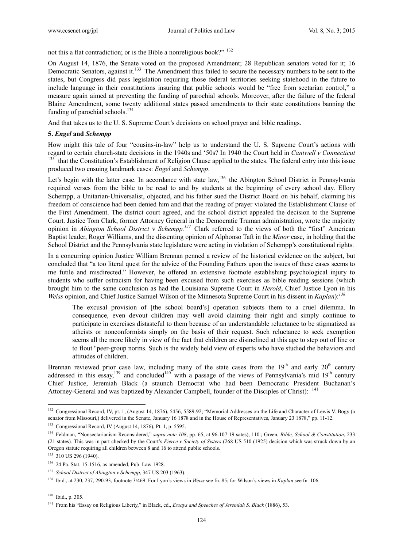not this a flat contradiction; or is the Bible a nonreligious book?"<sup>132</sup>

On August 14, 1876, the Senate voted on the proposed Amendment; 28 Republican senators voted for it; 16 Democratic Senators, against it.<sup>133</sup> The Amendment thus failed to secure the necessary numbers to be sent to the states, but Congress did pass legislation requiring those federal territories seeking statehood in the future to include language in their constitutions insuring that public schools would be "free from sectarian control," a measure again aimed at preventing the funding of parochial schools. Moreover, after the failure of the federal Blaine Amendment, some twenty additional states passed amendments to their state constitutions banning the funding of parochial schools. $^{134}$ 

And that takes us to the U. S. Supreme Court's decisions on school prayer and bible readings.

#### **5.** *Engel* **and** *Schempp*

How might this tale of four "cousins-in-law" help us to understand the U. S. Supreme Court's actions with regard to certain church-state decisions in the 1940s and '50s? In 1940 the Court held in *Cantwell v Connecticut*  $135$  that the Constitution's Establishment of Religion Clause applied to the states. The federal entry into this issue produced two ensuing landmark cases: *Engel* and *Schempp*.

Let's begin with the latter case. In accordance with state law,<sup>136</sup> the Abington School District in Pennsylvania required verses from the bible to be read to and by students at the beginning of every school day. Ellory Schempp, a Unitarian-Universalist, objected, and his father sued the District Board on his behalf, claiming his freedom of conscience had been denied him and that the reading of prayer violated the Establishment Clause of the First Amendment. The district court agreed, and the school district appealed the decision to the Supreme Court. Justice Tom Clark, former Attorney General in the Democratic Truman administration, wrote the majority opinion in *Abington School District* v *Schempp.137* Clark referred to the views of both the "first" American Baptist leader, Roger Williams, and the dissenting opinion of Alphonso Taft in the *Minor* case, in holding that the School District and the Pennsylvania state legislature were acting in violation of Schempp's constitutional rights.

In a concurring opinion Justice William Brennan penned a review of the historical evidence on the subject, but concluded that "a too literal quest for the advice of the Founding Fathers upon the issues of these cases seems to me futile and misdirected." However, he offered an extensive footnote establishing psychological injury to students who suffer ostracism for having been excused from such exercises as bible reading sessions (which brought him to the same conclusion as had the Louisiana Supreme Court in *Herold*, Chief Justice Lyon in his *Weiss* opinion, and Chief Justice Samuel Wilson of the Minnesota Supreme Court in his dissent in *Kaplan*):*<sup>138</sup>*

The excusal provision of [the school board's] operation subjects them to a cruel dilemma. In consequence, even devout children may well avoid claiming their right and simply continue to participate in exercises distasteful to them because of an understandable reluctance to be stigmatized as atheists or nonconformists simply on the basis of their request. Such reluctance to seek exemption seems all the more likely in view of the fact that children are disinclined at this age to step out of line or to flout "peer-group norms. Such is the widely held view of experts who have studied the behaviors and attitudes of children.

Brennan reviewed prior case law, including many of the state cases from the 19<sup>th</sup> and early 20<sup>th</sup> century addressed in this essay,<sup>139</sup> and concluded<sup>140</sup> with a passage of the views of Pennsylvania's mid 19<sup>th</sup> century Chief Justice, Jeremiah Black (a staunch Democrat who had been Democratic President Buchanan's Attorney-General and was baptized by Alexander Campbell, founder of the Disciples of Christ): <sup>141</sup>

<sup>&</sup>lt;sup>132</sup> Congressional Record, IV, pt. 1, (August 14, 1876), 5456, 5589-92; "Memorial Addresses on the Life and Character of Lewis V. Bogy (a senator from Missouri,) delivered in the Senate, January 16 1878 and in the House of Representatives, January 23 1878," pp. 11-12.

<sup>133</sup> Congressional Record, IV (August 14, 1876), Pt. 1, p. 5595.

<sup>134</sup> Feldman, "Nonsectarianism Reconsidered," *supra note 108*, pp. 65, at 96-107 19 sates), 110.; Green, *Bible, School & Constitution*, 233 (21 states). This was in part checked by the Court's *Pierce v Society of Sisters* (268 US 510 (1925) decision which was struck down by an Oregon statute requiring all children between 8 and 16 to attend public schools.

<sup>&</sup>lt;sup>135</sup> 310 US 296 (1940).

<sup>136 24</sup> Pa. Stat. 15-1516, as amended, Pub. Law 1928.

<sup>137</sup> *School District of Abington v Schempp*, 347 US 203 (1963).

<sup>138</sup> Ibid., at 230, 237, 290-93, footnote 3/469. For Lyon's views in *Weiss* see fn. 85; for Wilson's views in *Kaplan* see fn. 106*.*

 $140$  Ibid., p. 305.

<sup>141</sup> From his "Essay on Religious Liberty," in Black, ed., *Essays and Speeches of Jeremiah S. Black* (1886), 53.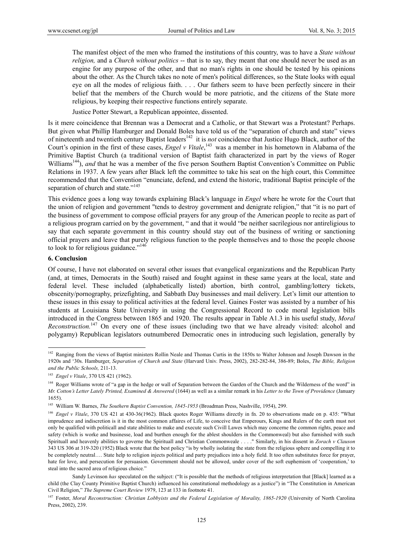The manifest object of the men who framed the institutions of this country, was to have a *State without religion,* and a *Church without politics* -- that is to say, they meant that one should never be used as an engine for any purpose of the other, and that no man's rights in one should be tested by his opinions about the other. As the Church takes no note of men's political differences, so the State looks with equal eye on all the modes of religious faith. . . . Our fathers seem to have been perfectly sincere in their belief that the members of the Church would be more patriotic, and the citizens of the State more religious, by keeping their respective functions entirely separate.

Justice Potter Stewart, a Republican appointee, dissented.

Is it mere coincidence that Brennan was a Democrat and a Catholic, or that Stewart was a Protestant? Perhaps. But given what Phillip Hamburger and Donald Boles have told us of the "separation of church and state" views of nineteenth and twentieth century Baptist leaders142 it is *not* coincidence that Justice Hugo Black, author of the Court's opinion in the first of these cases, *Engel v Vitale*,<sup>143</sup> was a member in his hometown in Alabama of the Primitive Baptist Church (a traditional version of Baptist faith characterized in part by the views of Roger Williams<sup>144</sup>), *and* that he was a member of the five person Southern Baptist Convention's Committee on Public Relations in 1937. A few years after Black left the committee to take his seat on the high court, this Committee recommended that the Convention "enunciate, defend, and extend the historic, traditional Baptist principle of the separation of church and state."<sup>145</sup>

This evidence goes a long way towards explaining Black's language in *Engel* where he wrote for the Court that the union of religion and government "tends to destroy government and denigrate religion," that "it is no part of the business of government to compose official prayers for any group of the American people to recite as part of a religious program carried on by the government, " and that it would "be neither sacrilegious nor antireligious to say that each separate government in this country should stay out of the business of writing or sanctioning official prayers and leave that purely religious function to the people themselves and to those the people choose to look to for religious guidance."<sup>146</sup>

#### **6. Conclusion**

 $\overline{a}$ 

Of course, I have not elaborated on several other issues that evangelical organizations and the Republican Party (and, at times, Democrats in the South) raised and fought against in these same years at the local, state and federal level. These included (alphabetically listed) abortion, birth control, gambling/lottery tickets, obscenity/pornography, prizefighting, and Sabbath Day businesses and mail delivery. Let's limit our attention to these issues in this essay to political activities at the federal level. Gaines Foster was assisted by a number of his students at Louisiana State University in using the Congressional Record to code moral legislation bills introduced in the Congress between 1865 and 1920. The results appear in Table A1.3 in his useful study, *Moral Reconstruction.*147 On every one of these issues (including two that we have already visited: alcohol and polygamy) Republican legislators outnumbered Democratic ones in introducing such legislation, generally by

<sup>&</sup>lt;sup>142</sup> Ranging from the views of Baptist ministers Rollin Neale and Thomas Curtis in the 1850s to Walter Johnson and Joseph Dawson in the 1920s and '30s. Hamburger, *Separation of Church and State* (Harvard Univ. Press, 2002), 282-282-84, 386-89; Boles, *The Bible, Religion and the Public Schools,* 211-13.

<sup>143</sup> *Engel v Vitale*, 370 US 421 (1962).

<sup>&</sup>lt;sup>144</sup> Roger Williams wrote of "a gap in the hedge or wall of Separation between the Garden of the Church and the Wilderness of the word" in *Mr. Cotton's Letter Lately Printed, Examined & Answered* (1644) as well as a similar remark in his *Letter to the Town of Providence* (January 1655).

<sup>145</sup> William W. Barnes, *The Southern Baptist Convention, 1845-1953* (Broadman Press, Nashville, 1954), 299.

<sup>&</sup>lt;sup>146</sup> *Engel v Vitale*, 370 US 421 at 430-36(1962). Black quotes Roger Williams directly in fn. 20 to observations made on p. 435: "What imprudence and indiscretion is it in the most common affaires of Life, to conceive that Emperours, Kings and Rulers of the earth must not only be qualified with politicall and state abilities to make and execute such Civill Lawes which may concerne the common rights, peace and safety (which is worke and businesse, load and burthen enough for the ablest shoulders in the Commonweal) but also furnished with such Spirituall and heavenly abilities to governe the Spirituall and Christian Commonweale . . . ." Similarly, in his dissent in *Zorach v Clauson*  343 US 306 at 319-320 (1952) Black wrote that the best policy "is by wholly isolating the state from the religious sphere and compelling it to be completely neutral…. State help to religion injects political and party prejudices into a holy field. It too often substitutes force for prayer, hate for love, and persecution for persuasion. Government should not be allowed, under cover of the soft euphemism of 'cooperation,' to steal into the sacred area of religious choice."

Sandy Levinson has speculated on the subject: ("It is possible that the methods of religious interpretation that [Black] learned as a child (the Clay County Primitive Baptist Church) influenced his constitutional methodology as a justice") in "The Constitution in American Civil Religion," *The Supreme Court Review* 1979, 123 at 133 in footnote 41.

<sup>&</sup>lt;sup>147</sup> Foster, *Moral Reconstruction: Christian Lobbyists and the Federal Legislation of Morality, 1865-1920 (University of North Carolina* Press, 2002), 239.